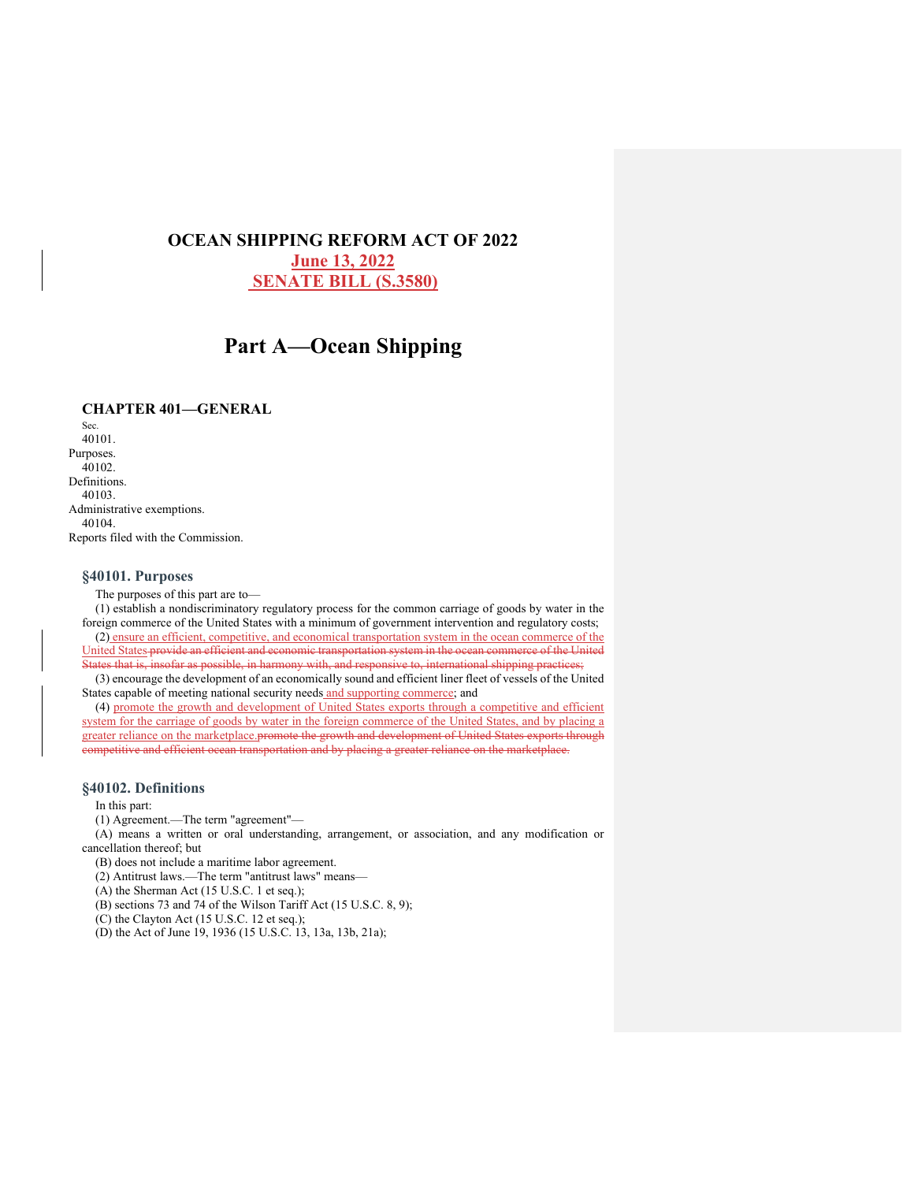# **OCEAN SHIPPING REFORM ACT OF 2022 June 13, 2022 SENATE BILL (S.3580)**

# **Part A—Ocean Shipping**

# **CHAPTER 401—GENERAL**

Sec. 40101. Purposes. 40102. Definitions. 40103. Administrative exemptions. 40104. Reports filed with the Commission.

# **§40101. Purposes**

The purposes of this part are to—

(1) establish a nondiscriminatory regulatory process for the common carriage of goods by water in the foreign commerce of the United States with a minimum of government intervention and regulatory costs; (2) ensure an efficient, competitive, and economical transportation system in the ocean commerce of the United States provide an efficient and economic transportation system in the ocean commerce of the United States that is, insofar as possible, in harmony with, and responsive to, international shipping practices;

(3) encourage the development of an economically sound and efficient liner fleet of vessels of the United States capable of meeting national security needs and supporting commerce; and

(4) promote the growth and development of United States exports through a competitive and efficient system for the carriage of goods by water in the foreign commerce of the United States, and by placing a greater reliance on the marketplace.promote the growth and development of United States exports through competitive and efficient ocean transportation and by placing a greater reliance on the marketplace.

# **§40102. Definitions**

In this part:

(1) Agreement.—The term "agreement"—

(A) means a written or oral understanding, arrangement, or association, and any modification or cancellation thereof; but

(B) does not include a maritime labor agreement.

(2) Antitrust laws.—The term "antitrust laws" means—

(A) the Sherman Act (15 U.S.C. 1 et seq.);

(B) sections 73 and 74 of the Wilson Tariff Act (15 U.S.C. 8, 9);

 $(C)$  the Clayton Act (15 U.S.C. 12 et seq.);

(D) the Act of June 19, 1936 (15 U.S.C. 13, 13a, 13b, 21a);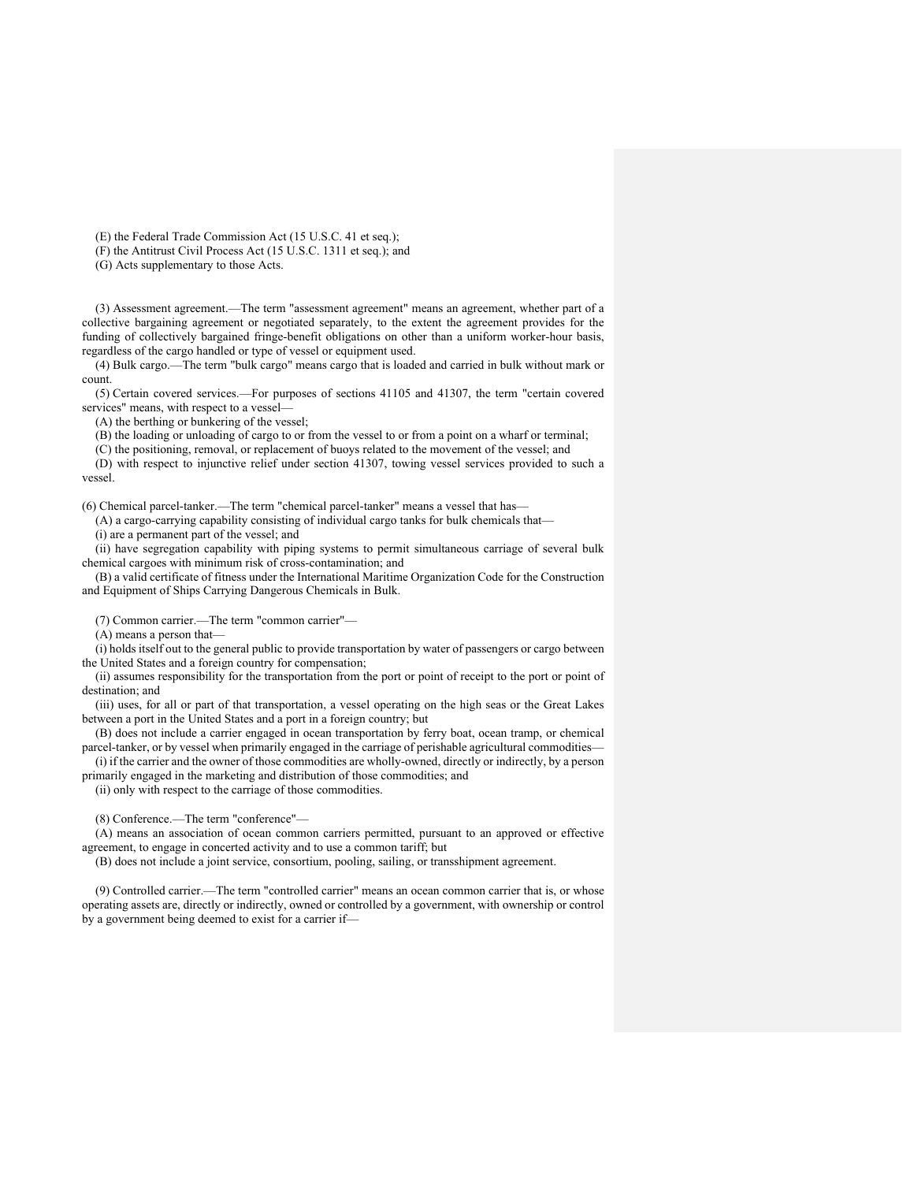(E) the Federal Trade Commission Act (15 U.S.C. 41 et seq.);

(F) the Antitrust Civil Process Act (15 U.S.C. 1311 et seq.); and

(G) Acts supplementary to those Acts.

(3) Assessment agreement.—The term "assessment agreement" means an agreement, whether part of a collective bargaining agreement or negotiated separately, to the extent the agreement provides for the funding of collectively bargained fringe-benefit obligations on other than a uniform worker-hour basis, regardless of the cargo handled or type of vessel or equipment used.

(4) Bulk cargo.—The term "bulk cargo" means cargo that is loaded and carried in bulk without mark or count.

(5) Certain covered services.—For purposes of sections 41105 and 41307, the term "certain covered services" means, with respect to a vessel—

(A) the berthing or bunkering of the vessel;

(B) the loading or unloading of cargo to or from the vessel to or from a point on a wharf or terminal;

(C) the positioning, removal, or replacement of buoys related to the movement of the vessel; and

(D) with respect to injunctive relief under section 41307, towing vessel services provided to such a vessel.

(6) Chemical parcel-tanker.—The term "chemical parcel-tanker" means a vessel that has—

(A) a cargo-carrying capability consisting of individual cargo tanks for bulk chemicals that—

(i) are a permanent part of the vessel; and

(ii) have segregation capability with piping systems to permit simultaneous carriage of several bulk chemical cargoes with minimum risk of cross-contamination; and

(B) a valid certificate of fitness under the International Maritime Organization Code for the Construction and Equipment of Ships Carrying Dangerous Chemicals in Bulk.

(7) Common carrier.—The term "common carrier"—

(A) means a person that—

(i) holds itself out to the general public to provide transportation by water of passengers or cargo between the United States and a foreign country for compensation;

(ii) assumes responsibility for the transportation from the port or point of receipt to the port or point of destination; and

(iii) uses, for all or part of that transportation, a vessel operating on the high seas or the Great Lakes between a port in the United States and a port in a foreign country; but

(B) does not include a carrier engaged in ocean transportation by ferry boat, ocean tramp, or chemical parcel-tanker, or by vessel when primarily engaged in the carriage of perishable agricultural commodities—

(i) if the carrier and the owner of those commodities are wholly-owned, directly or indirectly, by a person primarily engaged in the marketing and distribution of those commodities; and

(ii) only with respect to the carriage of those commodities.

(8) Conference.—The term "conference"—

(A) means an association of ocean common carriers permitted, pursuant to an approved or effective agreement, to engage in concerted activity and to use a common tariff; but

(B) does not include a joint service, consortium, pooling, sailing, or transshipment agreement.

(9) Controlled carrier.—The term "controlled carrier" means an ocean common carrier that is, or whose operating assets are, directly or indirectly, owned or controlled by a government, with ownership or control by a government being deemed to exist for a carrier if—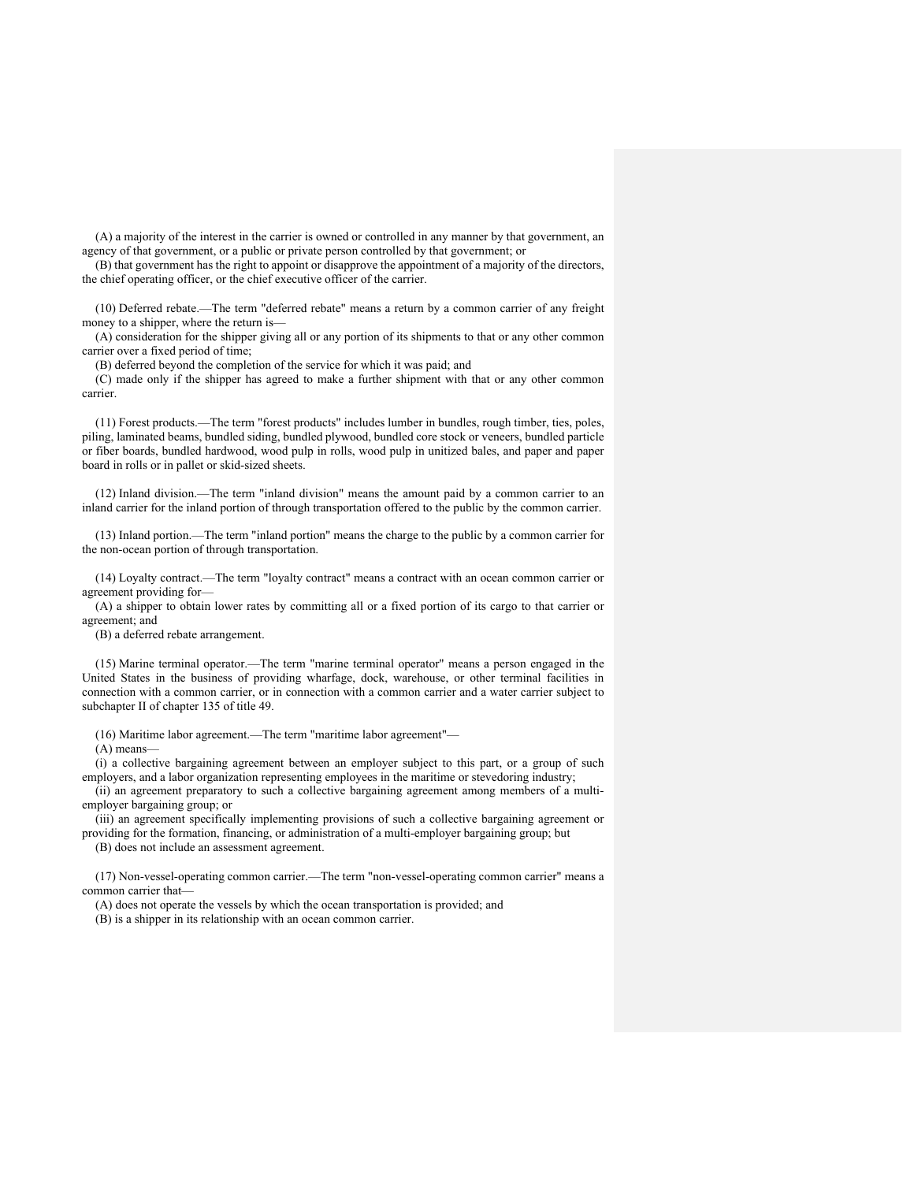(A) a majority of the interest in the carrier is owned or controlled in any manner by that government, an agency of that government, or a public or private person controlled by that government; or

(B) that government has the right to appoint or disapprove the appointment of a majority of the directors, the chief operating officer, or the chief executive officer of the carrier.

(10) Deferred rebate.—The term "deferred rebate" means a return by a common carrier of any freight money to a shipper, where the return is—

(A) consideration for the shipper giving all or any portion of its shipments to that or any other common carrier over a fixed period of time;

(B) deferred beyond the completion of the service for which it was paid; and

(C) made only if the shipper has agreed to make a further shipment with that or any other common carrier.

(11) Forest products.—The term "forest products" includes lumber in bundles, rough timber, ties, poles, piling, laminated beams, bundled siding, bundled plywood, bundled core stock or veneers, bundled particle or fiber boards, bundled hardwood, wood pulp in rolls, wood pulp in unitized bales, and paper and paper board in rolls or in pallet or skid-sized sheets.

(12) Inland division.—The term "inland division" means the amount paid by a common carrier to an inland carrier for the inland portion of through transportation offered to the public by the common carrier.

(13) Inland portion.—The term "inland portion" means the charge to the public by a common carrier for the non-ocean portion of through transportation.

(14) Loyalty contract.—The term "loyalty contract" means a contract with an ocean common carrier or agreement providing for—

(A) a shipper to obtain lower rates by committing all or a fixed portion of its cargo to that carrier or agreement; and

(B) a deferred rebate arrangement.

(15) Marine terminal operator.—The term "marine terminal operator" means a person engaged in the United States in the business of providing wharfage, dock, warehouse, or other terminal facilities in connection with a common carrier, or in connection with a common carrier and a water carrier subject to subchapter II of chapter 135 of title 49.

(16) Maritime labor agreement.—The term "maritime labor agreement"—

(A) means—

(i) a collective bargaining agreement between an employer subject to this part, or a group of such employers, and a labor organization representing employees in the maritime or stevedoring industry;

(ii) an agreement preparatory to such a collective bargaining agreement among members of a multiemployer bargaining group; or

(iii) an agreement specifically implementing provisions of such a collective bargaining agreement or providing for the formation, financing, or administration of a multi-employer bargaining group; but

(B) does not include an assessment agreement.

(17) Non-vessel-operating common carrier.—The term "non-vessel-operating common carrier" means a common carrier that—

(A) does not operate the vessels by which the ocean transportation is provided; and

(B) is a shipper in its relationship with an ocean common carrier.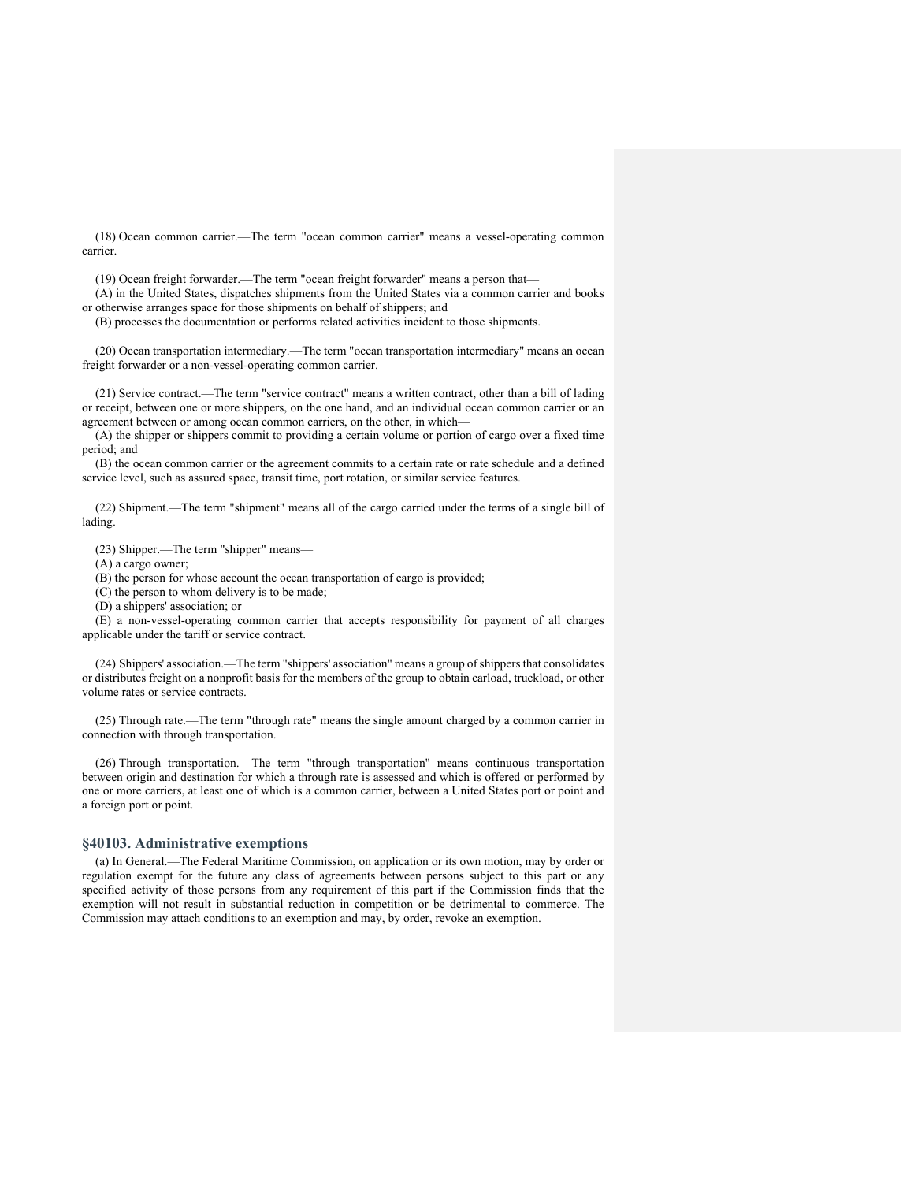(18) Ocean common carrier.—The term "ocean common carrier" means a vessel-operating common carrier.

(19) Ocean freight forwarder.—The term "ocean freight forwarder" means a person that—

(A) in the United States, dispatches shipments from the United States via a common carrier and books or otherwise arranges space for those shipments on behalf of shippers; and

(B) processes the documentation or performs related activities incident to those shipments.

(20) Ocean transportation intermediary.—The term "ocean transportation intermediary" means an ocean freight forwarder or a non-vessel-operating common carrier.

(21) Service contract.—The term "service contract" means a written contract, other than a bill of lading or receipt, between one or more shippers, on the one hand, and an individual ocean common carrier or an agreement between or among ocean common carriers, on the other, in which—

(A) the shipper or shippers commit to providing a certain volume or portion of cargo over a fixed time period; and

(B) the ocean common carrier or the agreement commits to a certain rate or rate schedule and a defined service level, such as assured space, transit time, port rotation, or similar service features.

(22) Shipment.—The term "shipment" means all of the cargo carried under the terms of a single bill of lading.

(23) Shipper.—The term "shipper" means—

(A) a cargo owner;

(B) the person for whose account the ocean transportation of cargo is provided;

(C) the person to whom delivery is to be made;

(D) a shippers' association; or

(E) a non-vessel-operating common carrier that accepts responsibility for payment of all charges applicable under the tariff or service contract.

(24) Shippers' association.—The term "shippers' association" means a group of shippers that consolidates or distributes freight on a nonprofit basis for the members of the group to obtain carload, truckload, or other volume rates or service contracts.

(25) Through rate.—The term "through rate" means the single amount charged by a common carrier in connection with through transportation.

(26) Through transportation.—The term "through transportation" means continuous transportation between origin and destination for which a through rate is assessed and which is offered or performed by one or more carriers, at least one of which is a common carrier, between a United States port or point and a foreign port or point.

# **§40103. Administrative exemptions**

(a) In General.—The Federal Maritime Commission, on application or its own motion, may by order or regulation exempt for the future any class of agreements between persons subject to this part or any specified activity of those persons from any requirement of this part if the Commission finds that the exemption will not result in substantial reduction in competition or be detrimental to commerce. The Commission may attach conditions to an exemption and may, by order, revoke an exemption.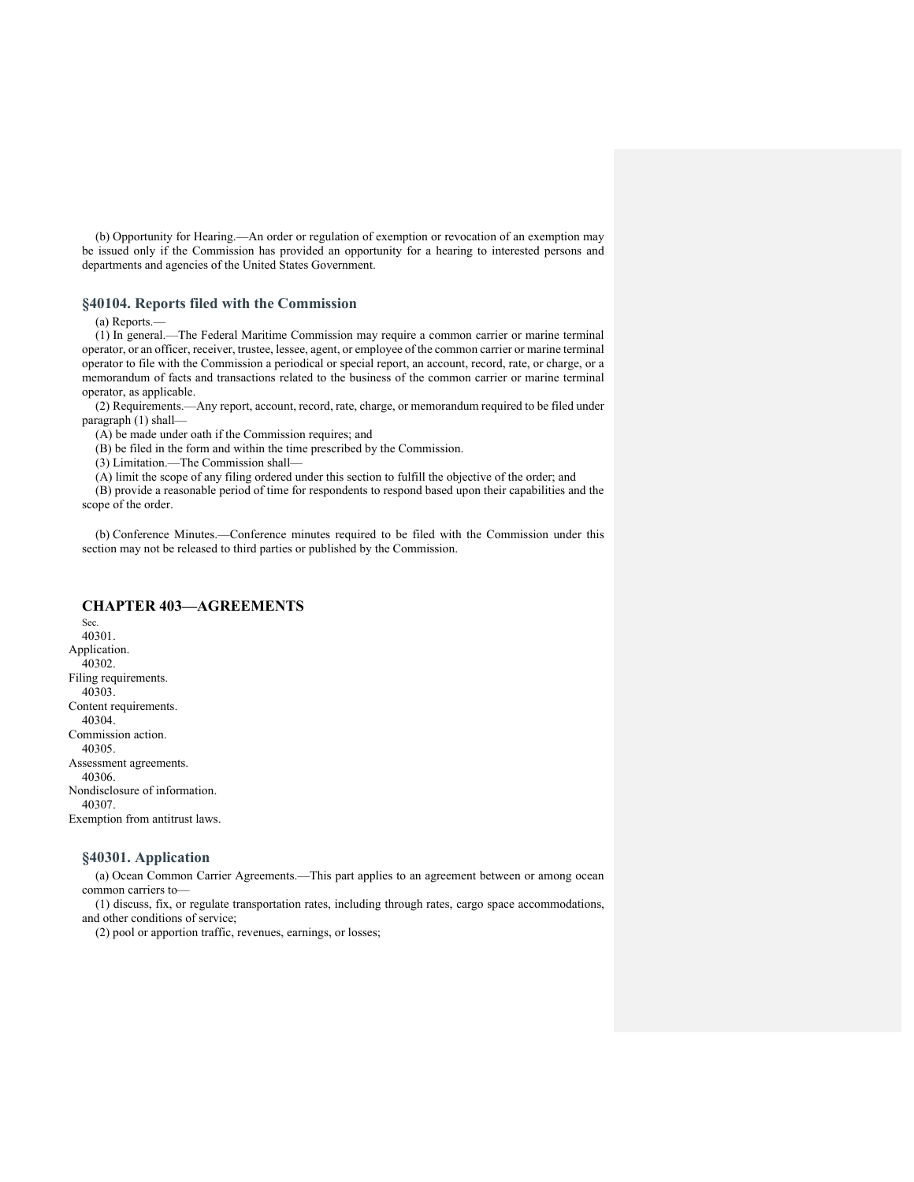(b) Opportunity for Hearing.—An order or regulation of exemption or revocation of an exemption may be issued only if the Commission has provided an opportunity for a hearing to interested persons and departments and agencies of the United States Government.

# **§40104. Reports filed with the Commission**

(a) Reports.—

(1) In general.—The Federal Maritime Commission may require a common carrier or marine terminal operator, or an officer, receiver, trustee, lessee, agent, or employee of the common carrier or marine terminal operator to file with the Commission a periodical or special report, an account, record, rate, or charge, or a memorandum of facts and transactions related to the business of the common carrier or marine terminal operator, as applicable.

(2) Requirements.—Any report, account, record, rate, charge, or memorandum required to be filed under paragraph (1) shall—

(A) be made under oath if the Commission requires; and

(B) be filed in the form and within the time prescribed by the Commission.

(3) Limitation.—The Commission shall—

(A) limit the scope of any filing ordered under this section to fulfill the objective of the order; and

(B) provide a reasonable period of time for respondents to respond based upon their capabilities and the scope of the order.

(b) Conference Minutes.—Conference minutes required to be filed with the Commission under this section may not be released to third parties or published by the Commission.

# **CHAPTER 403—AGREEMENTS**

Sec. 40301. Application. 40302. Filing requirements. 40303. Content requirements. 40304. Commission action. 40305. Assessment agreements. 40306. Nondisclosure of information. 40307. Exemption from antitrust laws.

#### **§40301. Application**

(a) Ocean Common Carrier Agreements.—This part applies to an agreement between or among ocean common carriers to—

(1) discuss, fix, or regulate transportation rates, including through rates, cargo space accommodations, and other conditions of service;

(2) pool or apportion traffic, revenues, earnings, or losses;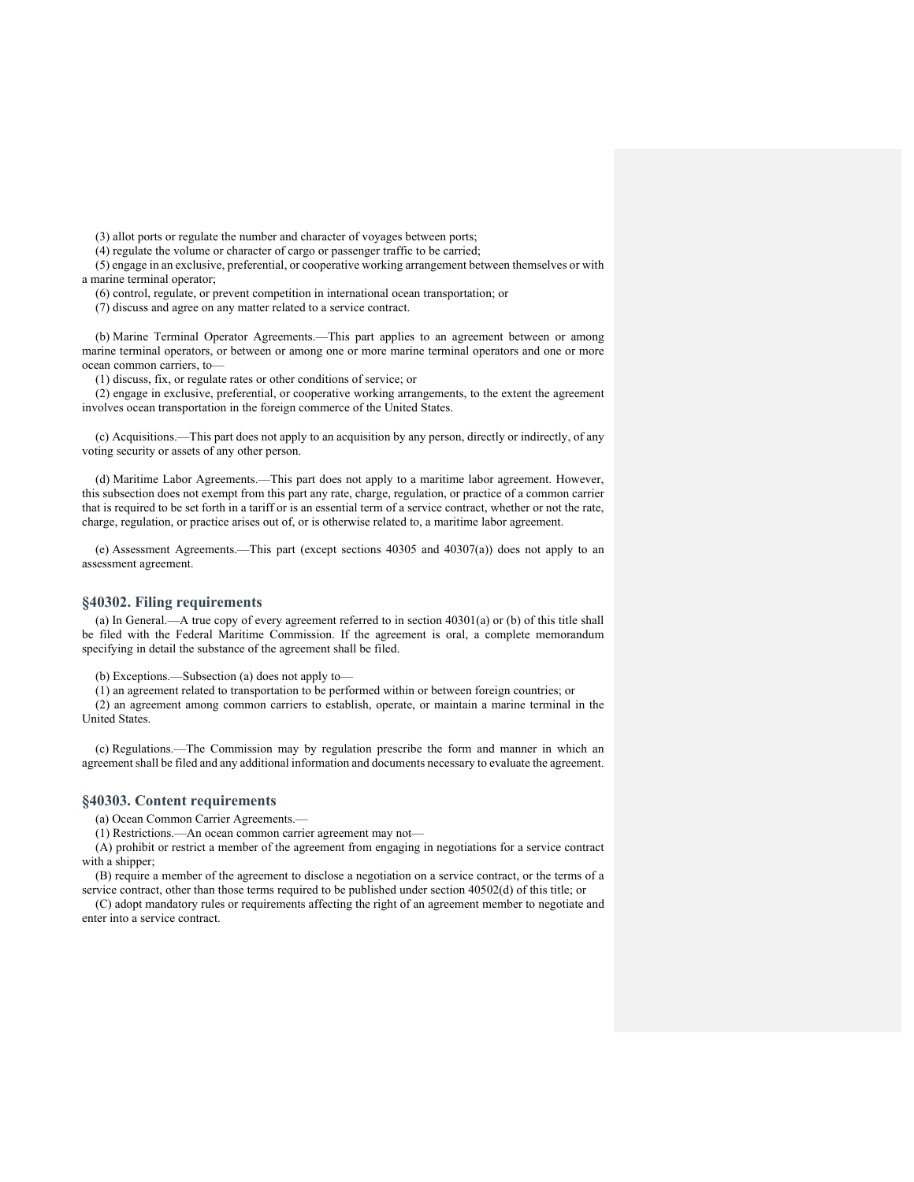(3) allot ports or regulate the number and character of voyages between ports;

(4) regulate the volume or character of cargo or passenger traffic to be carried;

(5) engage in an exclusive, preferential, or cooperative working arrangement between themselves or with a marine terminal operator;

(6) control, regulate, or prevent competition in international ocean transportation; or

(7) discuss and agree on any matter related to a service contract.

(b) Marine Terminal Operator Agreements.—This part applies to an agreement between or among marine terminal operators, or between or among one or more marine terminal operators and one or more ocean common carriers, to—

(1) discuss, fix, or regulate rates or other conditions of service; or

(2) engage in exclusive, preferential, or cooperative working arrangements, to the extent the agreement involves ocean transportation in the foreign commerce of the United States.

(c) Acquisitions.—This part does not apply to an acquisition by any person, directly or indirectly, of any voting security or assets of any other person.

(d) Maritime Labor Agreements.—This part does not apply to a maritime labor agreement. However, this subsection does not exempt from this part any rate, charge, regulation, or practice of a common carrier that is required to be set forth in a tariff or is an essential term of a service contract, whether or not the rate, charge, regulation, or practice arises out of, or is otherwise related to, a maritime labor agreement.

(e) Assessment Agreements.—This part (except sections 40305 and 40307(a)) does not apply to an assessment agreement.

#### **§40302. Filing requirements**

(a) In General.—A true copy of every agreement referred to in section 40301(a) or (b) of this title shall be filed with the Federal Maritime Commission. If the agreement is oral, a complete memorandum specifying in detail the substance of the agreement shall be filed.

(b) Exceptions.—Subsection (a) does not apply to—

(1) an agreement related to transportation to be performed within or between foreign countries; or

(2) an agreement among common carriers to establish, operate, or maintain a marine terminal in the United States.

(c) Regulations.—The Commission may by regulation prescribe the form and manner in which an agreement shall be filed and any additional information and documents necessary to evaluate the agreement.

#### **§40303. Content requirements**

(a) Ocean Common Carrier Agreements.—

(1) Restrictions.—An ocean common carrier agreement may not—

(A) prohibit or restrict a member of the agreement from engaging in negotiations for a service contract with a shipper;

(B) require a member of the agreement to disclose a negotiation on a service contract, or the terms of a service contract, other than those terms required to be published under section 40502(d) of this title; or

(C) adopt mandatory rules or requirements affecting the right of an agreement member to negotiate and enter into a service contract.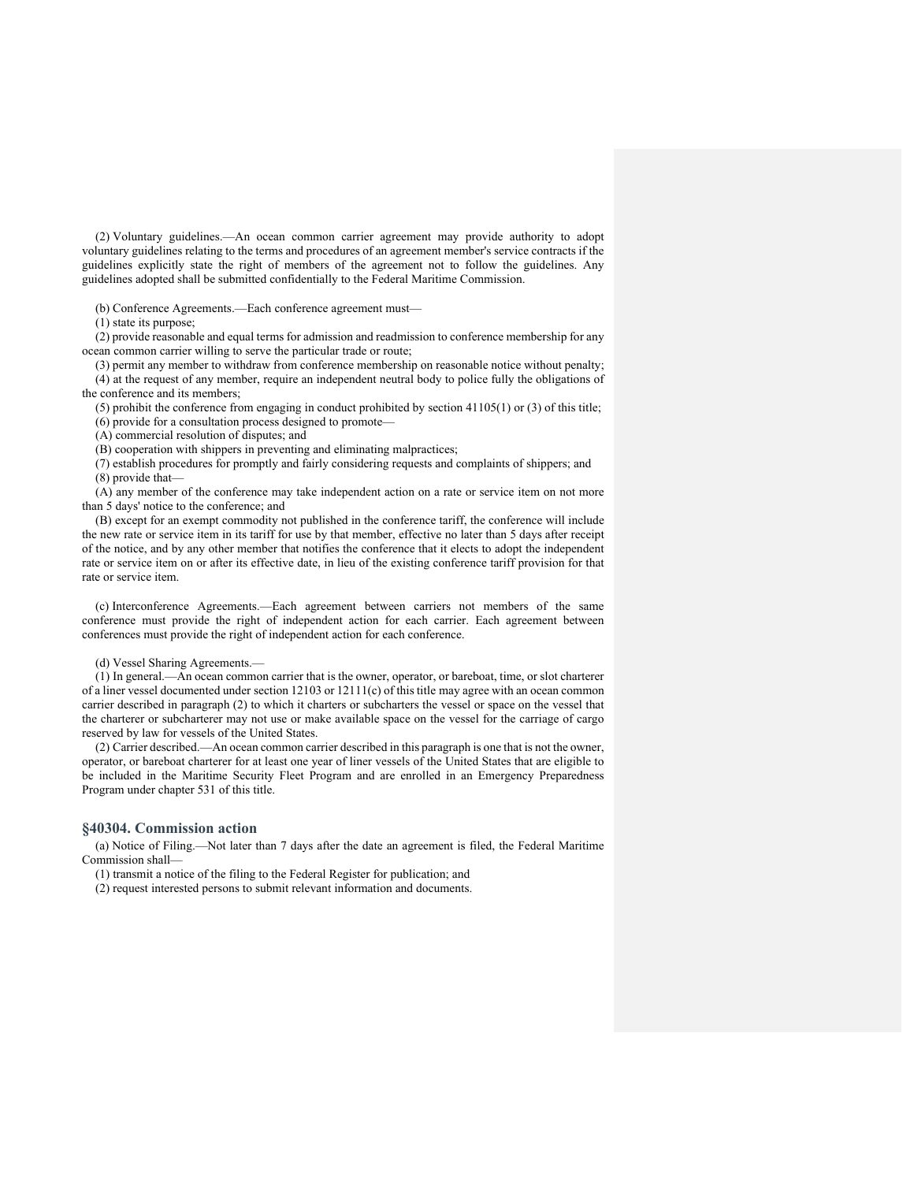(2) Voluntary guidelines.—An ocean common carrier agreement may provide authority to adopt voluntary guidelines relating to the terms and procedures of an agreement member's service contracts if the guidelines explicitly state the right of members of the agreement not to follow the guidelines. Any guidelines adopted shall be submitted confidentially to the Federal Maritime Commission.

(b) Conference Agreements.—Each conference agreement must—

(1) state its purpose;

(2) provide reasonable and equal terms for admission and readmission to conference membership for any ocean common carrier willing to serve the particular trade or route;

(3) permit any member to withdraw from conference membership on reasonable notice without penalty; (4) at the request of any member, require an independent neutral body to police fully the obligations of the conference and its members;

(5) prohibit the conference from engaging in conduct prohibited by section 41105(1) or (3) of this title;

(6) provide for a consultation process designed to promote—

(A) commercial resolution of disputes; and

(B) cooperation with shippers in preventing and eliminating malpractices;

(7) establish procedures for promptly and fairly considering requests and complaints of shippers; and (8) provide that—

(A) any member of the conference may take independent action on a rate or service item on not more than 5 days' notice to the conference; and

(B) except for an exempt commodity not published in the conference tariff, the conference will include the new rate or service item in its tariff for use by that member, effective no later than 5 days after receipt of the notice, and by any other member that notifies the conference that it elects to adopt the independent rate or service item on or after its effective date, in lieu of the existing conference tariff provision for that rate or service item.

(c) Interconference Agreements.—Each agreement between carriers not members of the same conference must provide the right of independent action for each carrier. Each agreement between conferences must provide the right of independent action for each conference.

(d) Vessel Sharing Agreements.—

(1) In general.—An ocean common carrier that is the owner, operator, or bareboat, time, or slot charterer of a liner vessel documented under section 12103 or 12111(c) of this title may agree with an ocean common carrier described in paragraph (2) to which it charters or subcharters the vessel or space on the vessel that the charterer or subcharterer may not use or make available space on the vessel for the carriage of cargo reserved by law for vessels of the United States.

(2) Carrier described.—An ocean common carrier described in this paragraph is one that is not the owner, operator, or bareboat charterer for at least one year of liner vessels of the United States that are eligible to be included in the Maritime Security Fleet Program and are enrolled in an Emergency Preparedness Program under chapter 531 of this title.

# **§40304. Commission action**

(a) Notice of Filing.—Not later than 7 days after the date an agreement is filed, the Federal Maritime Commission shall—

(1) transmit a notice of the filing to the Federal Register for publication; and

(2) request interested persons to submit relevant information and documents.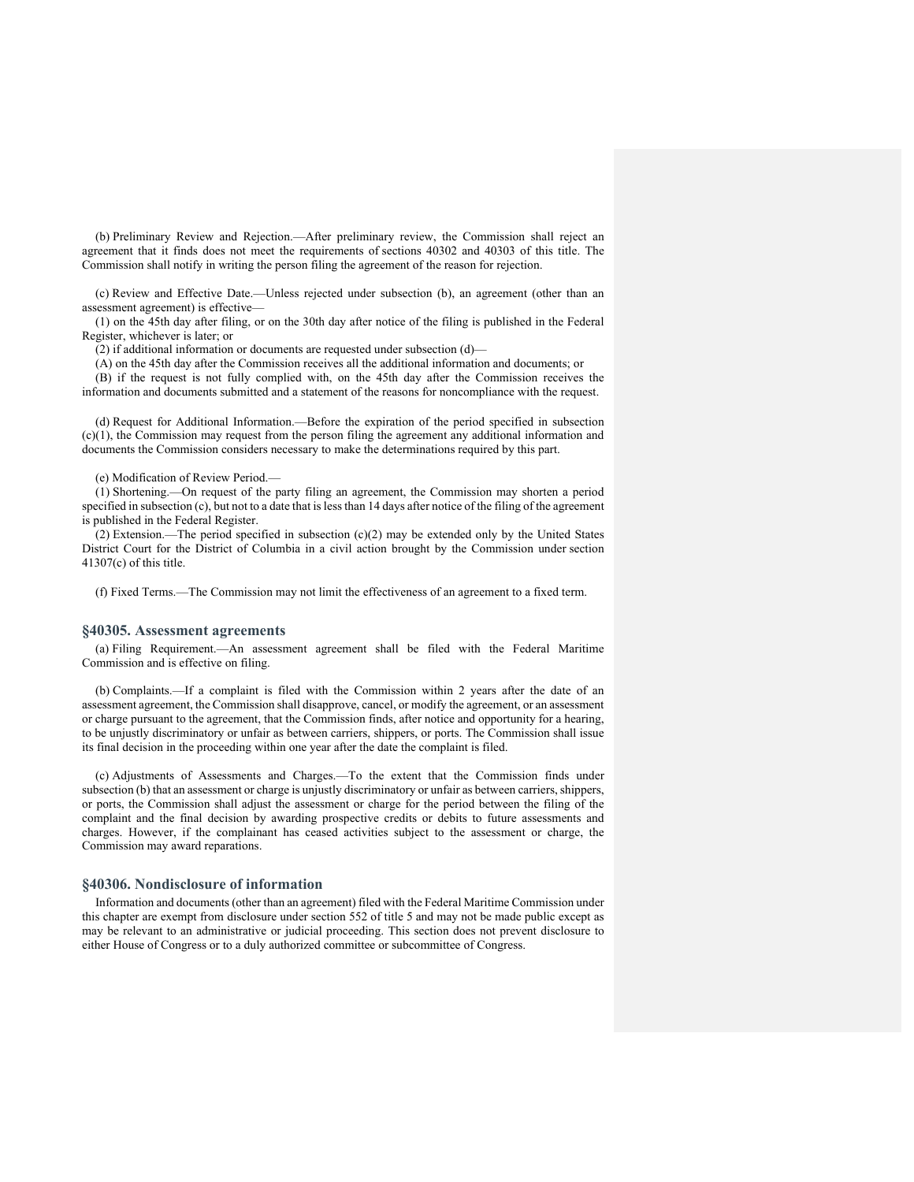(b) Preliminary Review and Rejection.—After preliminary review, the Commission shall reject an agreement that it finds does not meet the requirements of sections 40302 and 40303 of this title. The Commission shall notify in writing the person filing the agreement of the reason for rejection.

(c) Review and Effective Date.—Unless rejected under subsection (b), an agreement (other than an assessment agreement) is effective—

(1) on the 45th day after filing, or on the 30th day after notice of the filing is published in the Federal Register, whichever is later; or

(2) if additional information or documents are requested under subsection (d)—

(A) on the 45th day after the Commission receives all the additional information and documents; or (B) if the request is not fully complied with, on the 45th day after the Commission receives the information and documents submitted and a statement of the reasons for noncompliance with the request.

(d) Request for Additional Information.—Before the expiration of the period specified in subsection (c)(1), the Commission may request from the person filing the agreement any additional information and documents the Commission considers necessary to make the determinations required by this part.

(e) Modification of Review Period.—

(1) Shortening.—On request of the party filing an agreement, the Commission may shorten a period specified in subsection (c), but not to a date that is less than 14 days after notice of the filing of the agreement is published in the Federal Register.

(2) Extension.—The period specified in subsection (c)(2) may be extended only by the United States District Court for the District of Columbia in a civil action brought by the Commission under section 41307(c) of this title.

(f) Fixed Terms.—The Commission may not limit the effectiveness of an agreement to a fixed term.

# **§40305. Assessment agreements**

(a) Filing Requirement.—An assessment agreement shall be filed with the Federal Maritime Commission and is effective on filing.

(b) Complaints.—If a complaint is filed with the Commission within 2 years after the date of an assessment agreement, the Commission shall disapprove, cancel, or modify the agreement, or an assessment or charge pursuant to the agreement, that the Commission finds, after notice and opportunity for a hearing, to be unjustly discriminatory or unfair as between carriers, shippers, or ports. The Commission shall issue its final decision in the proceeding within one year after the date the complaint is filed.

(c) Adjustments of Assessments and Charges.—To the extent that the Commission finds under subsection (b) that an assessment or charge is unjustly discriminatory or unfair as between carriers, shippers, or ports, the Commission shall adjust the assessment or charge for the period between the filing of the complaint and the final decision by awarding prospective credits or debits to future assessments and charges. However, if the complainant has ceased activities subject to the assessment or charge, the Commission may award reparations.

#### **§40306. Nondisclosure of information**

Information and documents (other than an agreement) filed with the Federal Maritime Commission under this chapter are exempt from disclosure under section 552 of title 5 and may not be made public except as may be relevant to an administrative or judicial proceeding. This section does not prevent disclosure to either House of Congress or to a duly authorized committee or subcommittee of Congress.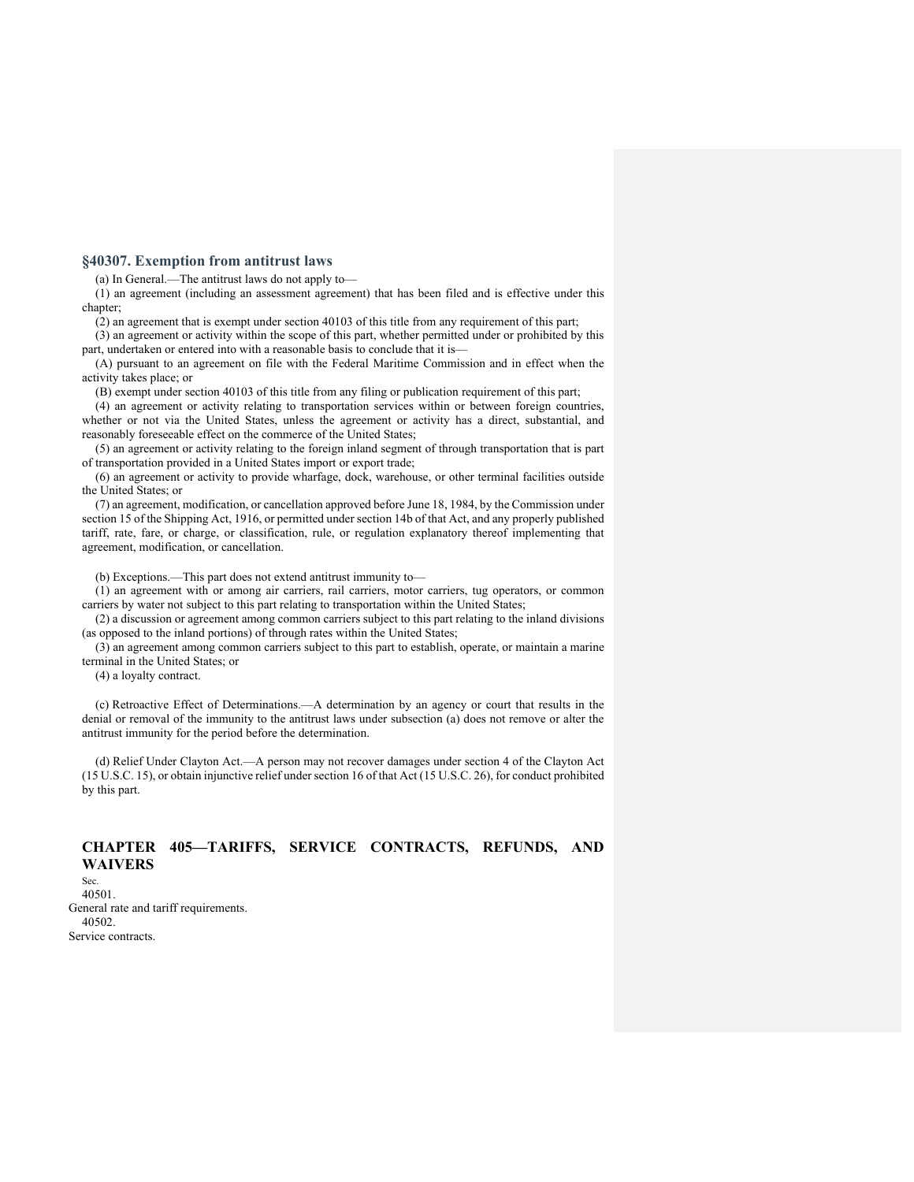# **§40307. Exemption from antitrust laws**

(a) In General.—The antitrust laws do not apply to—

(1) an agreement (including an assessment agreement) that has been filed and is effective under this chapter;

(2) an agreement that is exempt under section 40103 of this title from any requirement of this part;

(3) an agreement or activity within the scope of this part, whether permitted under or prohibited by this part, undertaken or entered into with a reasonable basis to conclude that it is—

(A) pursuant to an agreement on file with the Federal Maritime Commission and in effect when the activity takes place; or

(B) exempt under section 40103 of this title from any filing or publication requirement of this part;

(4) an agreement or activity relating to transportation services within or between foreign countries, whether or not via the United States, unless the agreement or activity has a direct, substantial, and reasonably foreseeable effect on the commerce of the United States;

(5) an agreement or activity relating to the foreign inland segment of through transportation that is part of transportation provided in a United States import or export trade;

(6) an agreement or activity to provide wharfage, dock, warehouse, or other terminal facilities outside the United States; or

(7) an agreement, modification, or cancellation approved before June 18, 1984, by the Commission under section 15 of the Shipping Act, 1916, or permitted under section 14b of that Act, and any properly published tariff, rate, fare, or charge, or classification, rule, or regulation explanatory thereof implementing that agreement, modification, or cancellation.

(b) Exceptions.—This part does not extend antitrust immunity to—

(1) an agreement with or among air carriers, rail carriers, motor carriers, tug operators, or common carriers by water not subject to this part relating to transportation within the United States;

(2) a discussion or agreement among common carriers subject to this part relating to the inland divisions (as opposed to the inland portions) of through rates within the United States;

(3) an agreement among common carriers subject to this part to establish, operate, or maintain a marine terminal in the United States; or

(4) a loyalty contract.

(c) Retroactive Effect of Determinations.—A determination by an agency or court that results in the denial or removal of the immunity to the antitrust laws under subsection (a) does not remove or alter the antitrust immunity for the period before the determination.

(d) Relief Under Clayton Act.—A person may not recover damages under section 4 of the Clayton Act (15 U.S.C. 15), or obtain injunctive relief under section 16 of that Act (15 U.S.C. 26), for conduct prohibited by this part.

# **CHAPTER 405—TARIFFS, SERVICE CONTRACTS, REFUNDS, AND WAIVERS**  Sec.

40501. General rate and tariff requirements. 40502. Service contracts.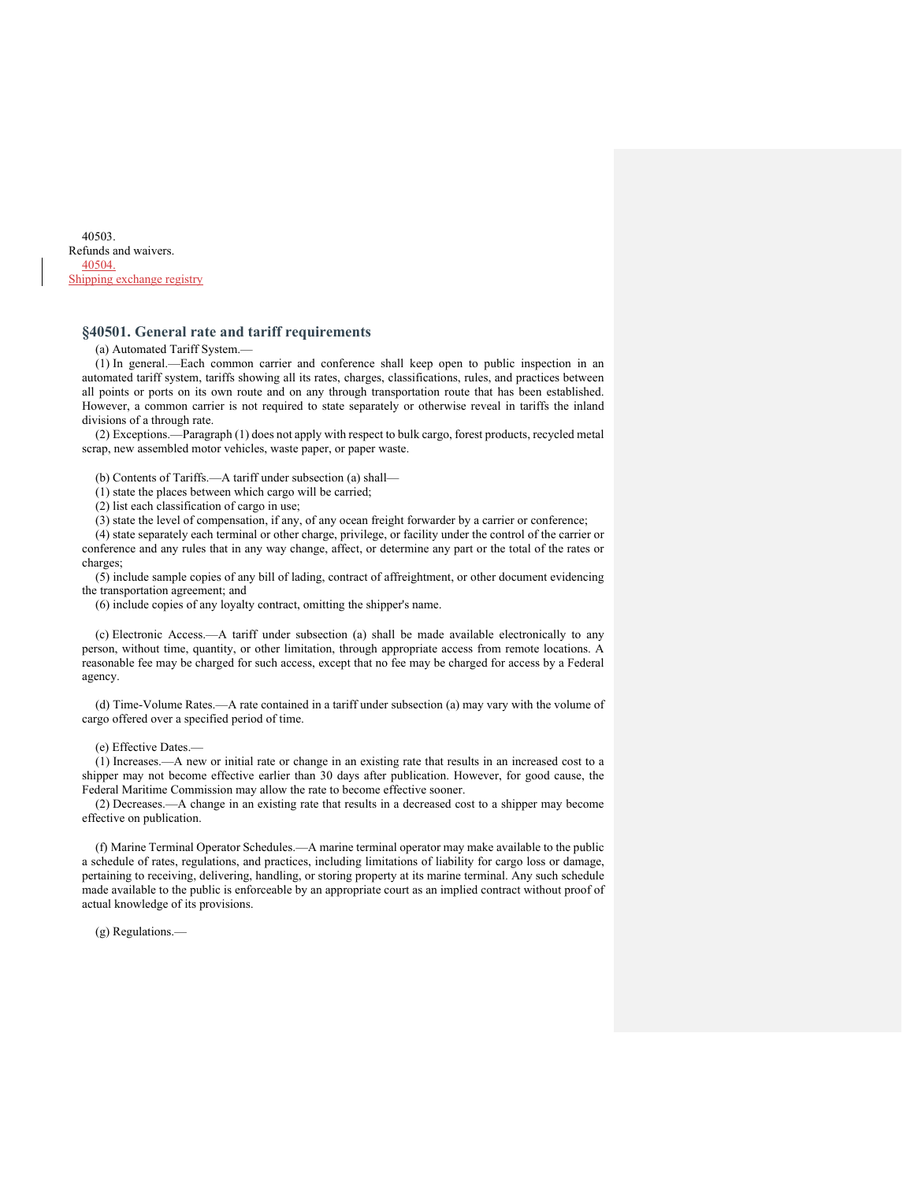40503. Refunds and waivers. 40504. Shipping exchange registry

# **§40501. General rate and tariff requirements**

(a) Automated Tariff System.—

(1) In general.—Each common carrier and conference shall keep open to public inspection in an automated tariff system, tariffs showing all its rates, charges, classifications, rules, and practices between all points or ports on its own route and on any through transportation route that has been established. However, a common carrier is not required to state separately or otherwise reveal in tariffs the inland divisions of a through rate.

(2) Exceptions.—Paragraph (1) does not apply with respect to bulk cargo, forest products, recycled metal scrap, new assembled motor vehicles, waste paper, or paper waste.

(b) Contents of Tariffs.—A tariff under subsection (a) shall—

(1) state the places between which cargo will be carried;

(2) list each classification of cargo in use;

(3) state the level of compensation, if any, of any ocean freight forwarder by a carrier or conference;

(4) state separately each terminal or other charge, privilege, or facility under the control of the carrier or conference and any rules that in any way change, affect, or determine any part or the total of the rates or charges;

(5) include sample copies of any bill of lading, contract of affreightment, or other document evidencing the transportation agreement; and

(6) include copies of any loyalty contract, omitting the shipper's name.

(c) Electronic Access.—A tariff under subsection (a) shall be made available electronically to any person, without time, quantity, or other limitation, through appropriate access from remote locations. A reasonable fee may be charged for such access, except that no fee may be charged for access by a Federal agency.

(d) Time-Volume Rates.—A rate contained in a tariff under subsection (a) may vary with the volume of cargo offered over a specified period of time.

(e) Effective Dates.—

(1) Increases.—A new or initial rate or change in an existing rate that results in an increased cost to a shipper may not become effective earlier than 30 days after publication. However, for good cause, the Federal Maritime Commission may allow the rate to become effective sooner.

(2) Decreases.—A change in an existing rate that results in a decreased cost to a shipper may become effective on publication.

(f) Marine Terminal Operator Schedules.—A marine terminal operator may make available to the public a schedule of rates, regulations, and practices, including limitations of liability for cargo loss or damage, pertaining to receiving, delivering, handling, or storing property at its marine terminal. Any such schedule made available to the public is enforceable by an appropriate court as an implied contract without proof of actual knowledge of its provisions.

(g) Regulations.—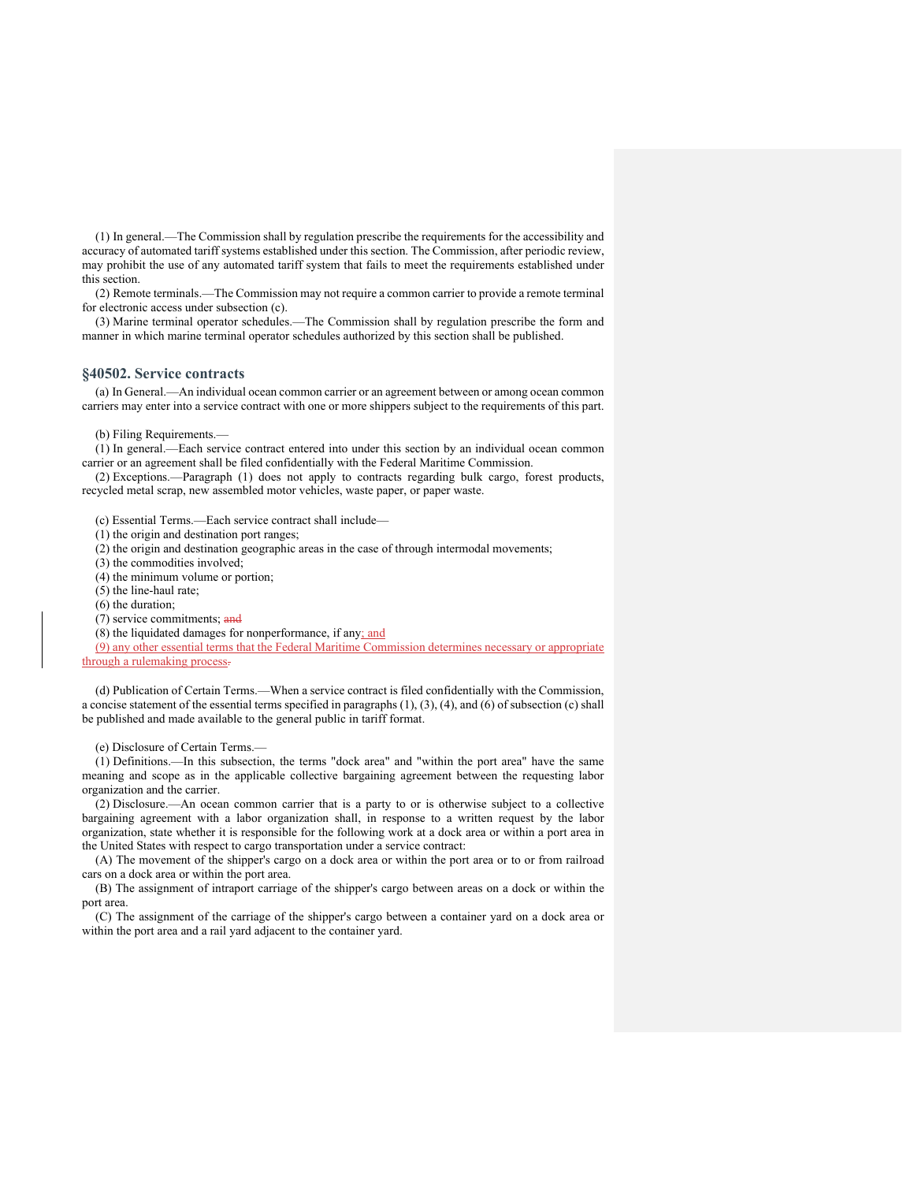(1) In general.—The Commission shall by regulation prescribe the requirements for the accessibility and accuracy of automated tariff systems established under this section. The Commission, after periodic review, may prohibit the use of any automated tariff system that fails to meet the requirements established under this section.

(2) Remote terminals.—The Commission may not require a common carrier to provide a remote terminal for electronic access under subsection (c).

(3) Marine terminal operator schedules.—The Commission shall by regulation prescribe the form and manner in which marine terminal operator schedules authorized by this section shall be published.

#### **§40502. Service contracts**

(a) In General.—An individual ocean common carrier or an agreement between or among ocean common carriers may enter into a service contract with one or more shippers subject to the requirements of this part.

(b) Filing Requirements.—

(1) In general.—Each service contract entered into under this section by an individual ocean common carrier or an agreement shall be filed confidentially with the Federal Maritime Commission.

(2) Exceptions.—Paragraph (1) does not apply to contracts regarding bulk cargo, forest products, recycled metal scrap, new assembled motor vehicles, waste paper, or paper waste.

(c) Essential Terms.—Each service contract shall include—

(1) the origin and destination port ranges;

(2) the origin and destination geographic areas in the case of through intermodal movements;

(3) the commodities involved;

(4) the minimum volume or portion;

(5) the line-haul rate;

(6) the duration;

(7) service commitments; and

(8) the liquidated damages for nonperformance, if any; and

(9) any other essential terms that the Federal Maritime Commission determines necessary or appropriate through a rulemaking process-

(d) Publication of Certain Terms.—When a service contract is filed confidentially with the Commission, a concise statement of the essential terms specified in paragraphs (1), (3), (4), and (6) of subsection (c) shall be published and made available to the general public in tariff format.

(e) Disclosure of Certain Terms.—

(1) Definitions.—In this subsection, the terms "dock area" and "within the port area" have the same meaning and scope as in the applicable collective bargaining agreement between the requesting labor organization and the carrier.

(2) Disclosure.—An ocean common carrier that is a party to or is otherwise subject to a collective bargaining agreement with a labor organization shall, in response to a written request by the labor organization, state whether it is responsible for the following work at a dock area or within a port area in the United States with respect to cargo transportation under a service contract:

(A) The movement of the shipper's cargo on a dock area or within the port area or to or from railroad cars on a dock area or within the port area.

(B) The assignment of intraport carriage of the shipper's cargo between areas on a dock or within the port area.

(C) The assignment of the carriage of the shipper's cargo between a container yard on a dock area or within the port area and a rail yard adjacent to the container yard.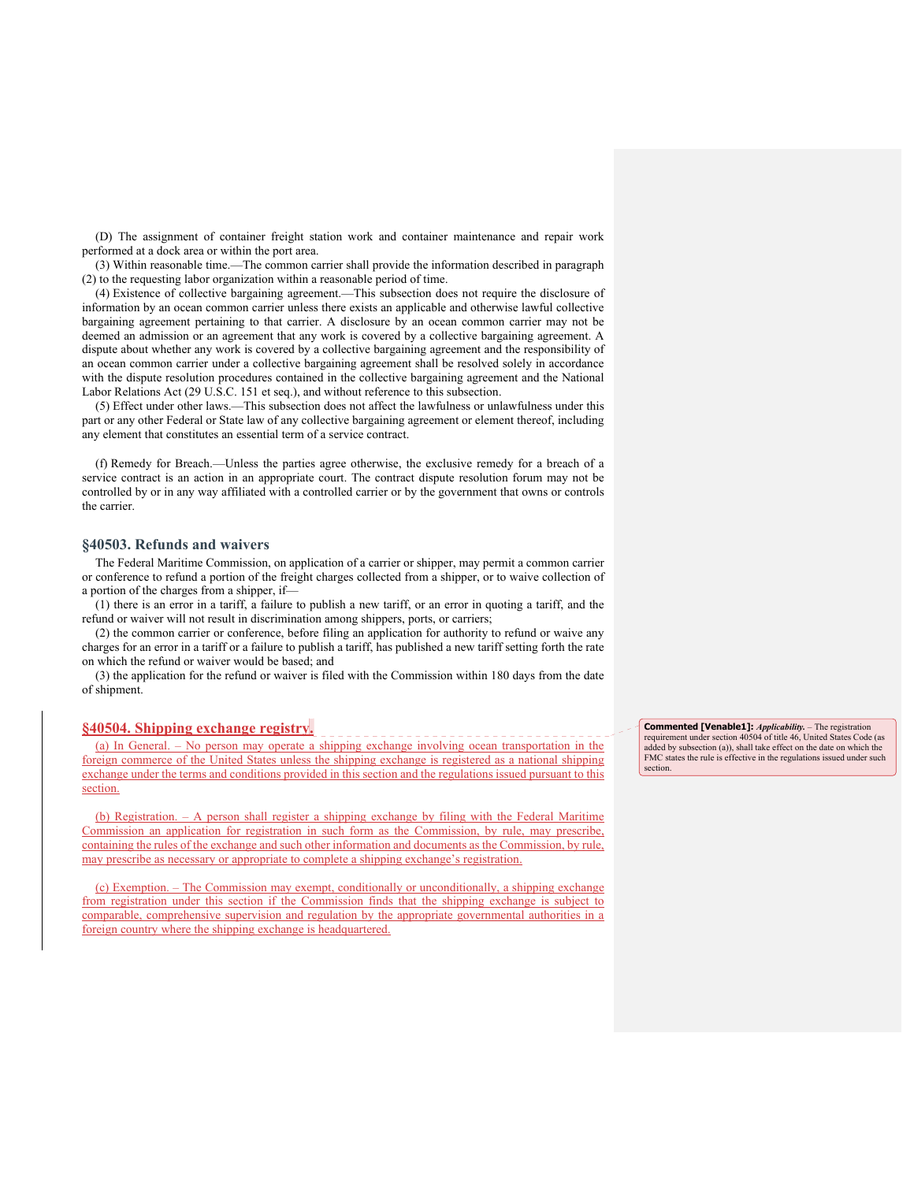(D) The assignment of container freight station work and container maintenance and repair work performed at a dock area or within the port area.

(3) Within reasonable time.—The common carrier shall provide the information described in paragraph (2) to the requesting labor organization within a reasonable period of time.

(4) Existence of collective bargaining agreement.—This subsection does not require the disclosure of information by an ocean common carrier unless there exists an applicable and otherwise lawful collective bargaining agreement pertaining to that carrier. A disclosure by an ocean common carrier may not be deemed an admission or an agreement that any work is covered by a collective bargaining agreement. A dispute about whether any work is covered by a collective bargaining agreement and the responsibility of an ocean common carrier under a collective bargaining agreement shall be resolved solely in accordance with the dispute resolution procedures contained in the collective bargaining agreement and the National Labor Relations Act (29 U.S.C. 151 et seq.), and without reference to this subsection.

(5) Effect under other laws.—This subsection does not affect the lawfulness or unlawfulness under this part or any other Federal or State law of any collective bargaining agreement or element thereof, including any element that constitutes an essential term of a service contract.

(f) Remedy for Breach.—Unless the parties agree otherwise, the exclusive remedy for a breach of a service contract is an action in an appropriate court. The contract dispute resolution forum may not be controlled by or in any way affiliated with a controlled carrier or by the government that owns or controls the carrier.

#### **§40503. Refunds and waivers**

The Federal Maritime Commission, on application of a carrier or shipper, may permit a common carrier or conference to refund a portion of the freight charges collected from a shipper, or to waive collection of a portion of the charges from a shipper, if—

(1) there is an error in a tariff, a failure to publish a new tariff, or an error in quoting a tariff, and the refund or waiver will not result in discrimination among shippers, ports, or carriers;

(2) the common carrier or conference, before filing an application for authority to refund or waive any charges for an error in a tariff or a failure to publish a tariff, has published a new tariff setting forth the rate on which the refund or waiver would be based; and

(3) the application for the refund or waiver is filed with the Commission within 180 days from the date of shipment.

#### **§40504. Shipping exchange registry.**

(a) In General. – No person may operate a shipping exchange involving ocean transportation in the foreign commerce of the United States unless the shipping exchange is registered as a national shipping exchange under the terms and conditions provided in this section and the regulations issued pursuant to this section.

(b) Registration. – A person shall register a shipping exchange by filing with the Federal Maritime Commission an application for registration in such form as the Commission, by rule, may prescribe, containing the rules of the exchange and such other information and documents as the Commission, by rule, may prescribe as necessary or appropriate to complete a shipping exchange's registration.

(c) Exemption. – The Commission may exempt, conditionally or unconditionally, a shipping exchange from registration under this section if the Commission finds that the shipping exchange is subject to comparable, comprehensive supervision and regulation by the appropriate governmental authorities in a foreign country where the shipping exchange is headquartered.

**Commented [Venable1]:** *Applicability.* – The registration requirement under section 40504 of title 46, United States Code (as added by subsection (a)), shall take effect on the date on which the FMC states the rule is effective in the regulations issued under such section.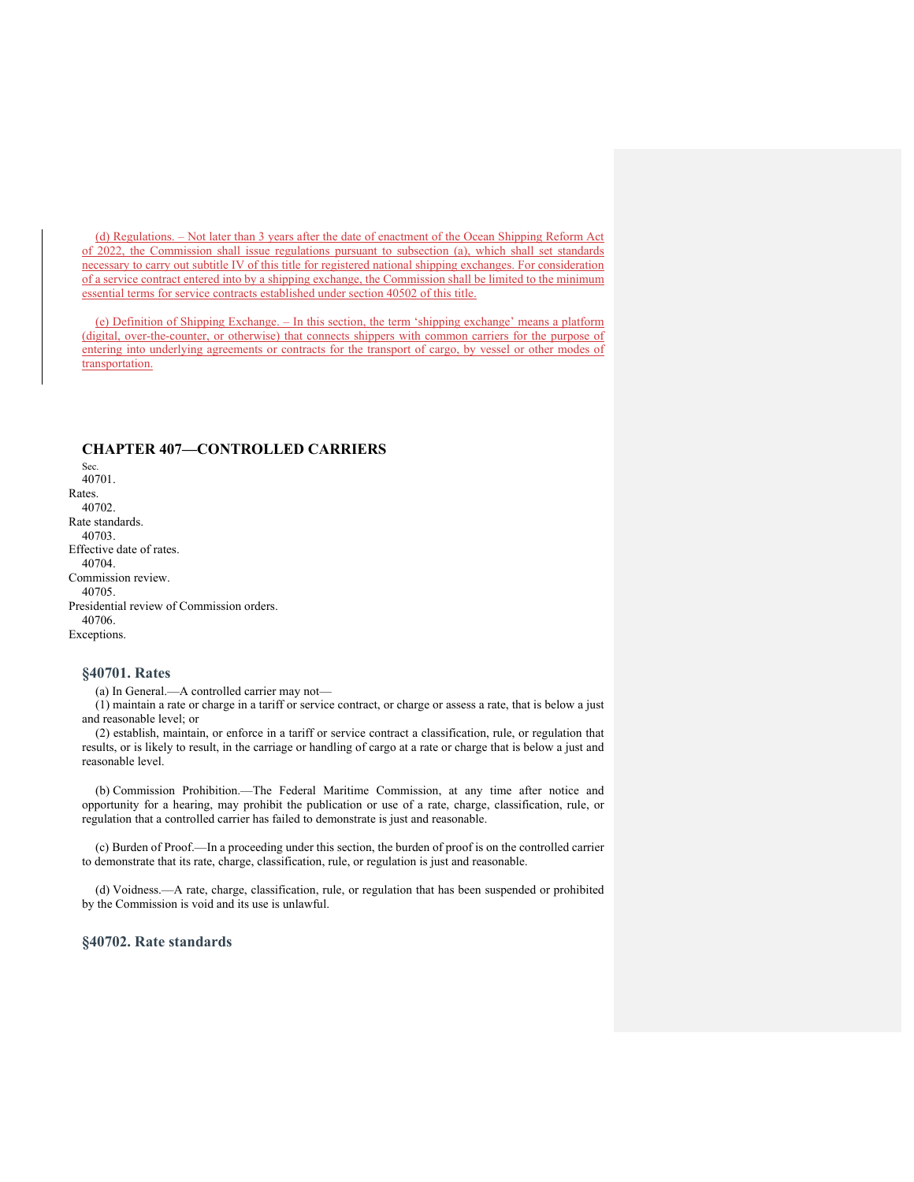(d) Regulations. – Not later than 3 years after the date of enactment of the Ocean Shipping Reform Act of 2022, the Commission shall issue regulations pursuant to subsection (a), which shall set standards necessary to carry out subtitle IV of this title for registered national shipping exchanges. For consideration of a service contract entered into by a shipping exchange, the Commission shall be limited to the minimum essential terms for service contracts established under section 40502 of this title.

(e) Definition of Shipping Exchange. – In this section, the term 'shipping exchange' means a platform (digital, over-the-counter, or otherwise) that connects shippers with common carriers for the purpose of entering into underlying agreements or contracts for the transport of cargo, by vessel or other modes of transportation.

# **CHAPTER 407—CONTROLLED CARRIERS**

Sec. 40701. Rates. 40702. Rate standards. 40703. Effective date of rates. 40704. Commission review. 40705. Presidential review of Commission orders. 40706. Exceptions.

# **§40701. Rates**

(a) In General.—A controlled carrier may not—

(1) maintain a rate or charge in a tariff or service contract, or charge or assess a rate, that is below a just and reasonable level; or

(2) establish, maintain, or enforce in a tariff or service contract a classification, rule, or regulation that results, or is likely to result, in the carriage or handling of cargo at a rate or charge that is below a just and reasonable level.

(b) Commission Prohibition.—The Federal Maritime Commission, at any time after notice and opportunity for a hearing, may prohibit the publication or use of a rate, charge, classification, rule, or regulation that a controlled carrier has failed to demonstrate is just and reasonable.

(c) Burden of Proof.—In a proceeding under this section, the burden of proof is on the controlled carrier to demonstrate that its rate, charge, classification, rule, or regulation is just and reasonable.

(d) Voidness.—A rate, charge, classification, rule, or regulation that has been suspended or prohibited by the Commission is void and its use is unlawful.

# **§40702. Rate standards**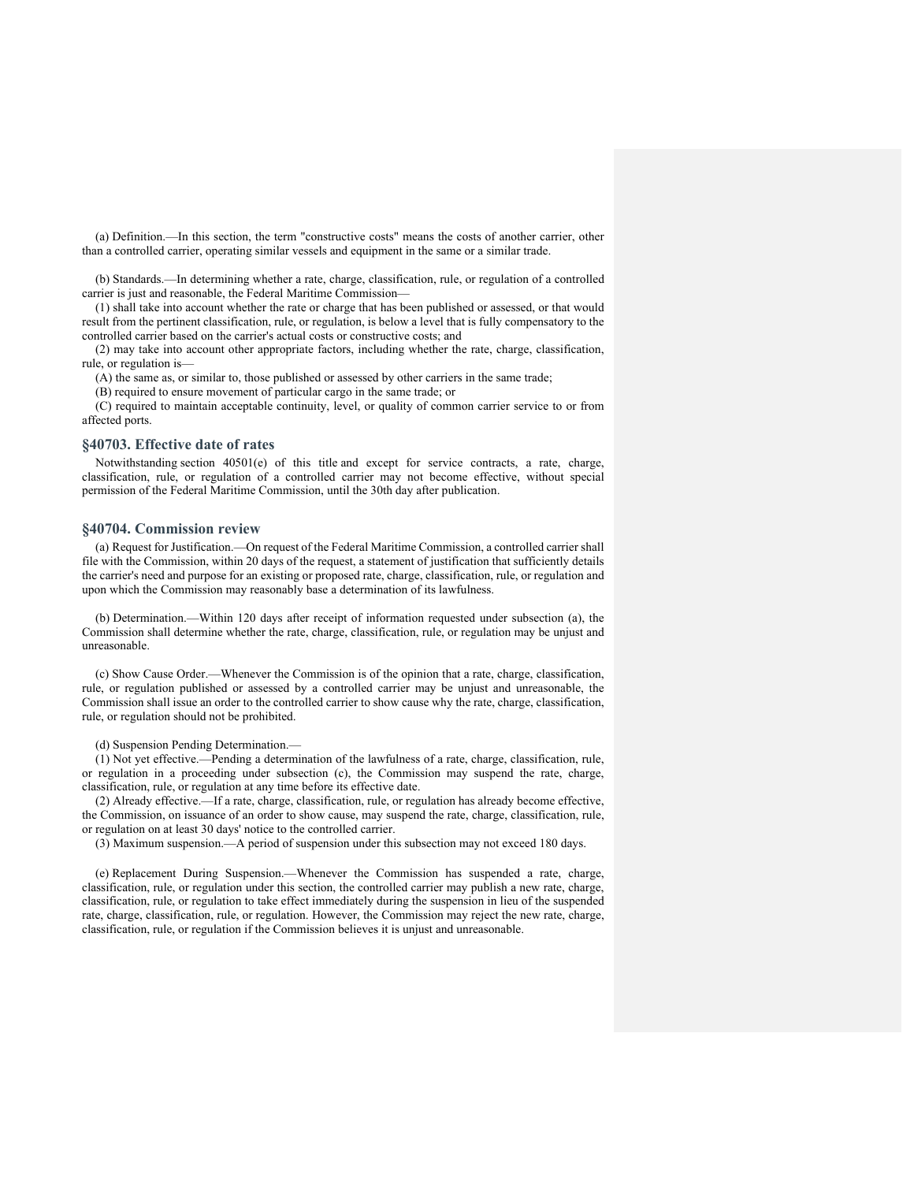(a) Definition.—In this section, the term "constructive costs" means the costs of another carrier, other than a controlled carrier, operating similar vessels and equipment in the same or a similar trade.

(b) Standards.—In determining whether a rate, charge, classification, rule, or regulation of a controlled carrier is just and reasonable, the Federal Maritime Commission—

(1) shall take into account whether the rate or charge that has been published or assessed, or that would result from the pertinent classification, rule, or regulation, is below a level that is fully compensatory to the controlled carrier based on the carrier's actual costs or constructive costs; and

(2) may take into account other appropriate factors, including whether the rate, charge, classification, rule, or regulation is—

(A) the same as, or similar to, those published or assessed by other carriers in the same trade;

(B) required to ensure movement of particular cargo in the same trade; or

(C) required to maintain acceptable continuity, level, or quality of common carrier service to or from affected ports.

#### **§40703. Effective date of rates**

Notwithstanding section 40501(e) of this title and except for service contracts, a rate, charge, classification, rule, or regulation of a controlled carrier may not become effective, without special permission of the Federal Maritime Commission, until the 30th day after publication.

#### **§40704. Commission review**

(a) Request for Justification.—On request of the Federal Maritime Commission, a controlled carrier shall file with the Commission, within 20 days of the request, a statement of justification that sufficiently details the carrier's need and purpose for an existing or proposed rate, charge, classification, rule, or regulation and upon which the Commission may reasonably base a determination of its lawfulness.

(b) Determination.—Within 120 days after receipt of information requested under subsection (a), the Commission shall determine whether the rate, charge, classification, rule, or regulation may be unjust and unreasonable.

(c) Show Cause Order.—Whenever the Commission is of the opinion that a rate, charge, classification, rule, or regulation published or assessed by a controlled carrier may be unjust and unreasonable, the Commission shall issue an order to the controlled carrier to show cause why the rate, charge, classification, rule, or regulation should not be prohibited.

(d) Suspension Pending Determination.—

(1) Not yet effective.—Pending a determination of the lawfulness of a rate, charge, classification, rule, or regulation in a proceeding under subsection (c), the Commission may suspend the rate, charge, classification, rule, or regulation at any time before its effective date.

(2) Already effective.—If a rate, charge, classification, rule, or regulation has already become effective, the Commission, on issuance of an order to show cause, may suspend the rate, charge, classification, rule, or regulation on at least 30 days' notice to the controlled carrier.

(3) Maximum suspension.—A period of suspension under this subsection may not exceed 180 days.

(e) Replacement During Suspension.—Whenever the Commission has suspended a rate, charge, classification, rule, or regulation under this section, the controlled carrier may publish a new rate, charge, classification, rule, or regulation to take effect immediately during the suspension in lieu of the suspended rate, charge, classification, rule, or regulation. However, the Commission may reject the new rate, charge, classification, rule, or regulation if the Commission believes it is unjust and unreasonable.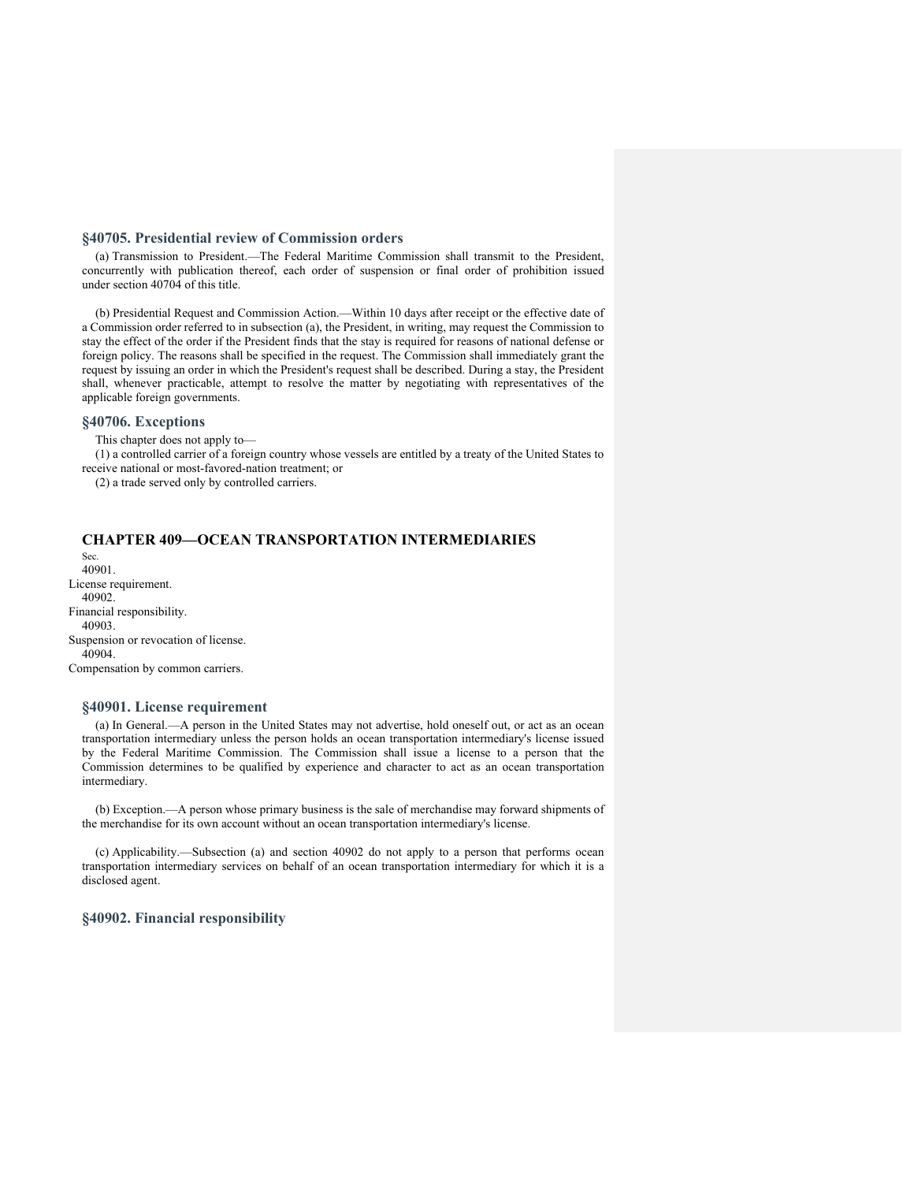# **§40705. Presidential review of Commission orders**

(a) Transmission to President.—The Federal Maritime Commission shall transmit to the President, concurrently with publication thereof, each order of suspension or final order of prohibition issued under section 40704 of this title.

(b) Presidential Request and Commission Action.—Within 10 days after receipt or the effective date of a Commission order referred to in subsection (a), the President, in writing, may request the Commission to stay the effect of the order if the President finds that the stay is required for reasons of national defense or foreign policy. The reasons shall be specified in the request. The Commission shall immediately grant the request by issuing an order in which the President's request shall be described. During a stay, the President shall, whenever practicable, attempt to resolve the matter by negotiating with representatives of the applicable foreign governments.

# **§40706. Exceptions**

This chapter does not apply to—

(1) a controlled carrier of a foreign country whose vessels are entitled by a treaty of the United States to receive national or most-favored-nation treatment; or

(2) a trade served only by controlled carriers.

# **CHAPTER 409—OCEAN TRANSPORTATION INTERMEDIARIES**

Sec. 40901. License requirement. 40902. Financial responsibility. 40903. Suspension or revocation of license. 40904. Compensation by common carriers.

#### **§40901. License requirement**

(a) In General.—A person in the United States may not advertise, hold oneself out, or act as an ocean transportation intermediary unless the person holds an ocean transportation intermediary's license issued by the Federal Maritime Commission. The Commission shall issue a license to a person that the Commission determines to be qualified by experience and character to act as an ocean transportation intermediary.

(b) Exception.—A person whose primary business is the sale of merchandise may forward shipments of the merchandise for its own account without an ocean transportation intermediary's license.

(c) Applicability.—Subsection (a) and section 40902 do not apply to a person that performs ocean transportation intermediary services on behalf of an ocean transportation intermediary for which it is a disclosed agent.

# **§40902. Financial responsibility**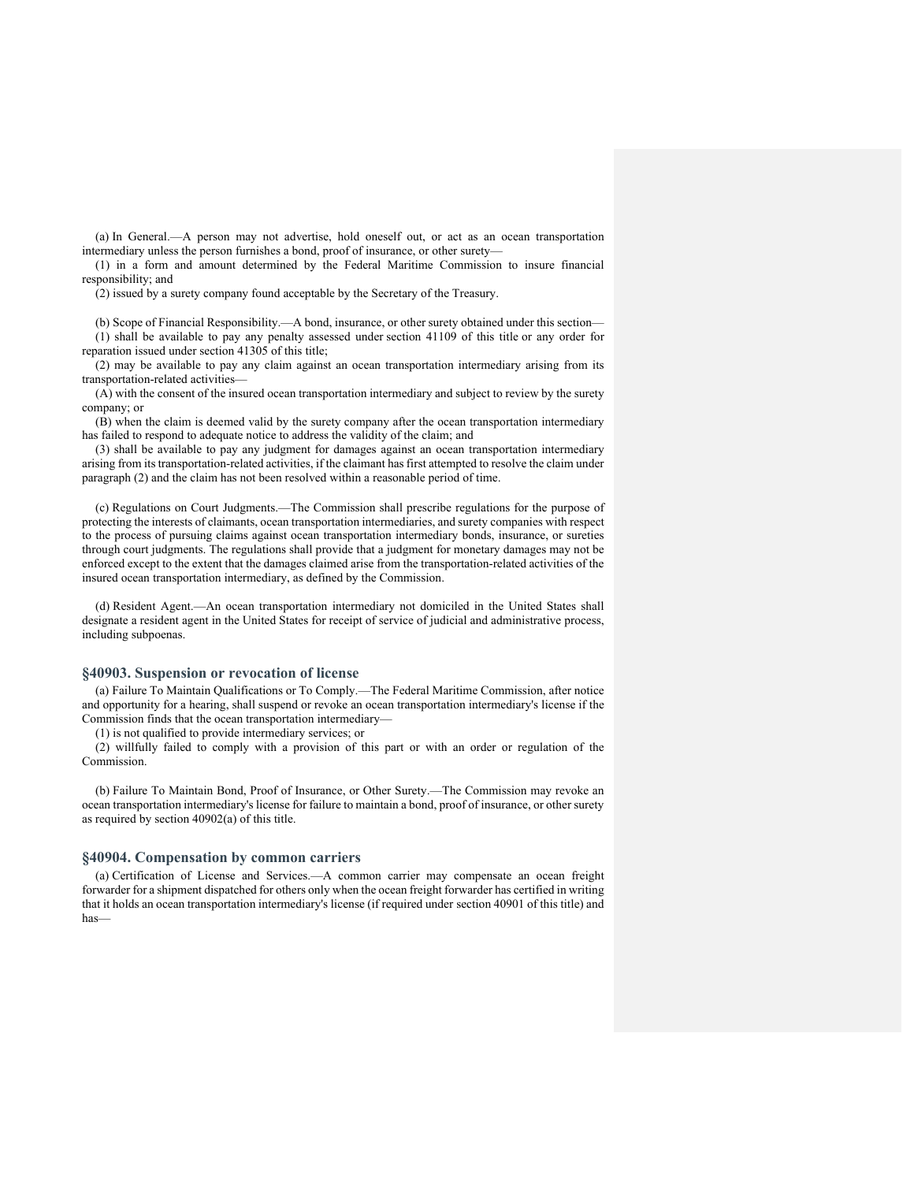(a) In General.—A person may not advertise, hold oneself out, or act as an ocean transportation intermediary unless the person furnishes a bond, proof of insurance, or other surety—

(1) in a form and amount determined by the Federal Maritime Commission to insure financial responsibility; and

(2) issued by a surety company found acceptable by the Secretary of the Treasury.

(b) Scope of Financial Responsibility.—A bond, insurance, or other surety obtained under this section—

(1) shall be available to pay any penalty assessed under section 41109 of this title or any order for reparation issued under section 41305 of this title;

(2) may be available to pay any claim against an ocean transportation intermediary arising from its transportation-related activities—

(A) with the consent of the insured ocean transportation intermediary and subject to review by the surety company; or

(B) when the claim is deemed valid by the surety company after the ocean transportation intermediary has failed to respond to adequate notice to address the validity of the claim; and

(3) shall be available to pay any judgment for damages against an ocean transportation intermediary arising from its transportation-related activities, if the claimant has first attempted to resolve the claim under paragraph (2) and the claim has not been resolved within a reasonable period of time.

(c) Regulations on Court Judgments.—The Commission shall prescribe regulations for the purpose of protecting the interests of claimants, ocean transportation intermediaries, and surety companies with respect to the process of pursuing claims against ocean transportation intermediary bonds, insurance, or sureties through court judgments. The regulations shall provide that a judgment for monetary damages may not be enforced except to the extent that the damages claimed arise from the transportation-related activities of the insured ocean transportation intermediary, as defined by the Commission.

(d) Resident Agent.—An ocean transportation intermediary not domiciled in the United States shall designate a resident agent in the United States for receipt of service of judicial and administrative process, including subpoenas.

# **§40903. Suspension or revocation of license**

(a) Failure To Maintain Qualifications or To Comply.—The Federal Maritime Commission, after notice and opportunity for a hearing, shall suspend or revoke an ocean transportation intermediary's license if the Commission finds that the ocean transportation intermediary—

(1) is not qualified to provide intermediary services; or

(2) willfully failed to comply with a provision of this part or with an order or regulation of the Commission.

(b) Failure To Maintain Bond, Proof of Insurance, or Other Surety.—The Commission may revoke an ocean transportation intermediary's license for failure to maintain a bond, proof of insurance, or other surety as required by section 40902(a) of this title.

#### **§40904. Compensation by common carriers**

(a) Certification of License and Services.—A common carrier may compensate an ocean freight forwarder for a shipment dispatched for others only when the ocean freight forwarder has certified in writing that it holds an ocean transportation intermediary's license (if required under section 40901 of this title) and has—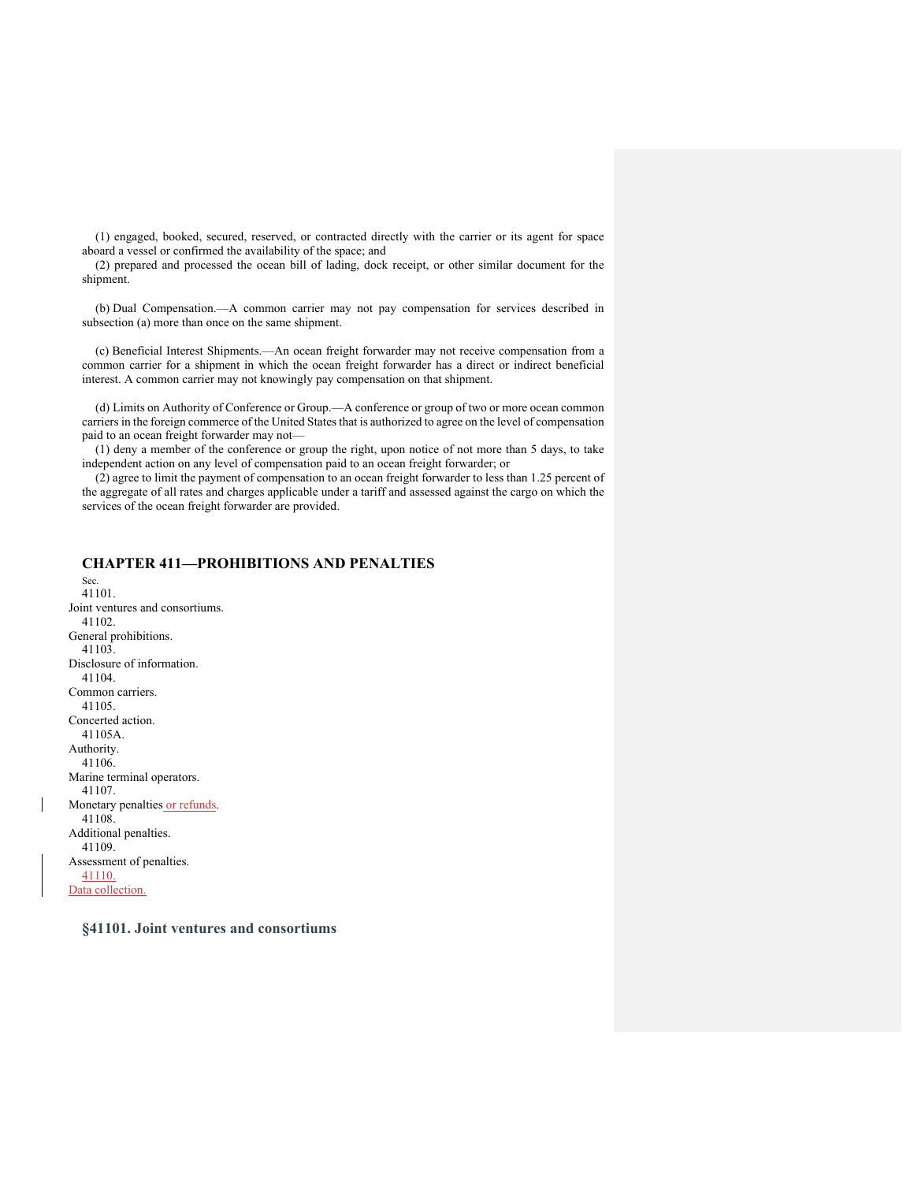(1) engaged, booked, secured, reserved, or contracted directly with the carrier or its agent for space aboard a vessel or confirmed the availability of the space; and

(2) prepared and processed the ocean bill of lading, dock receipt, or other similar document for the shipment.

(b) Dual Compensation.—A common carrier may not pay compensation for services described in subsection (a) more than once on the same shipment.

(c) Beneficial Interest Shipments.—An ocean freight forwarder may not receive compensation from a common carrier for a shipment in which the ocean freight forwarder has a direct or indirect beneficial interest. A common carrier may not knowingly pay compensation on that shipment.

(d) Limits on Authority of Conference or Group.—A conference or group of two or more ocean common carriers in the foreign commerce of the United States that is authorized to agree on the level of compensation paid to an ocean freight forwarder may not—

(1) deny a member of the conference or group the right, upon notice of not more than 5 days, to take independent action on any level of compensation paid to an ocean freight forwarder; or

(2) agree to limit the payment of compensation to an ocean freight forwarder to less than 1.25 percent of the aggregate of all rates and charges applicable under a tariff and assessed against the cargo on which the services of the ocean freight forwarder are provided.

# **CHAPTER 411—PROHIBITIONS AND PENALTIES**

Sec. 41101. Joint ventures and consortiums. 41102. General prohibitions. 41103. Disclosure of information. 41104. Common carriers. 41105. Concerted action. 41105A. Authority. 41106. Marine terminal operators. 41107. Monetary penalties or refunds. 41108. Additional penalties. 41109. Assessment of penalties. 41110. Data collection.

**§41101. Joint ventures and consortiums**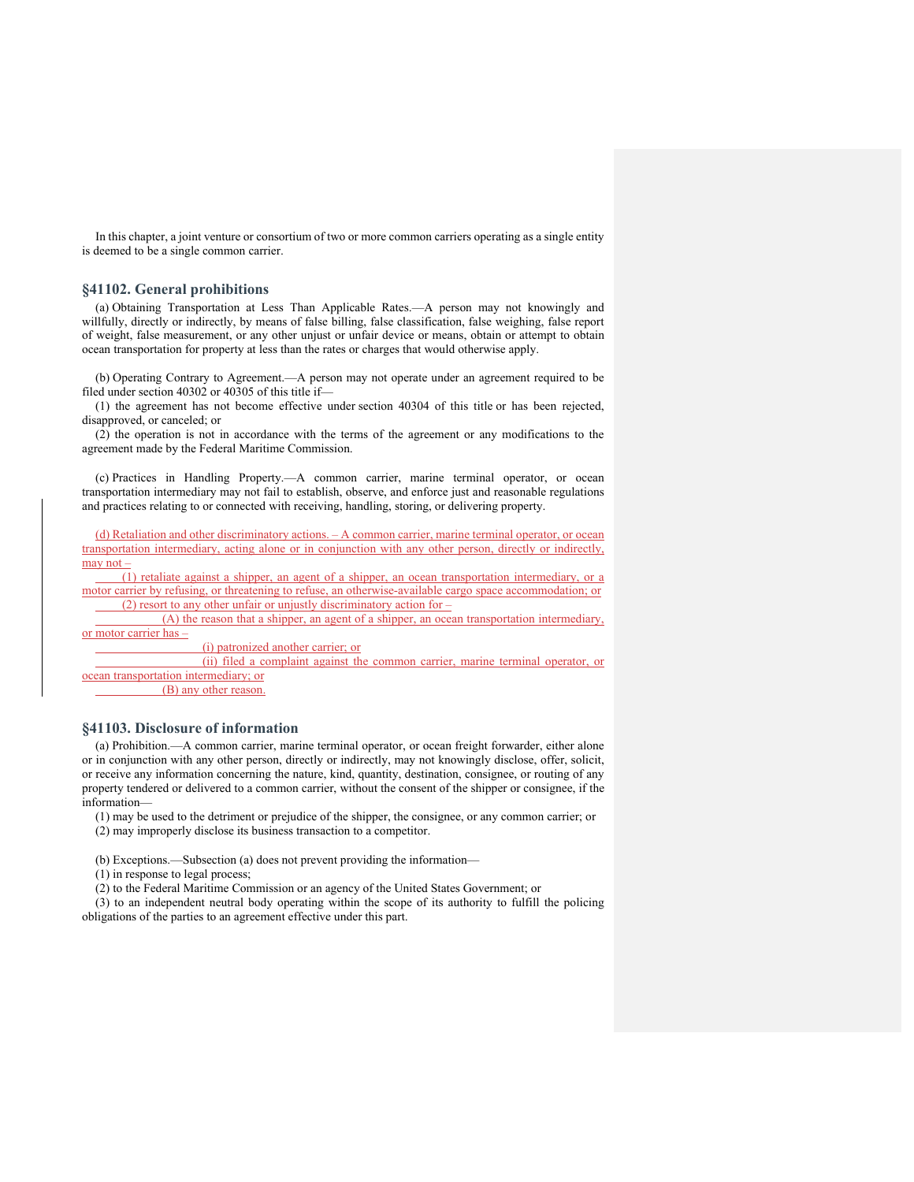In this chapter, a joint venture or consortium of two or more common carriers operating as a single entity is deemed to be a single common carrier.

#### **§41102. General prohibitions**

(a) Obtaining Transportation at Less Than Applicable Rates.—A person may not knowingly and willfully, directly or indirectly, by means of false billing, false classification, false weighing, false report of weight, false measurement, or any other unjust or unfair device or means, obtain or attempt to obtain ocean transportation for property at less than the rates or charges that would otherwise apply.

(b) Operating Contrary to Agreement.—A person may not operate under an agreement required to be filed under section 40302 or 40305 of this title if—

(1) the agreement has not become effective under section 40304 of this title or has been rejected, disapproved, or canceled; or

(2) the operation is not in accordance with the terms of the agreement or any modifications to the agreement made by the Federal Maritime Commission.

(c) Practices in Handling Property.—A common carrier, marine terminal operator, or ocean transportation intermediary may not fail to establish, observe, and enforce just and reasonable regulations and practices relating to or connected with receiving, handling, storing, or delivering property.

(d) Retaliation and other discriminatory actions. – A common carrier, marine terminal operator, or ocean transportation intermediary, acting alone or in conjunction with any other person, directly or indirectly, may not –

 (1) retaliate against a shipper, an agent of a shipper, an ocean transportation intermediary, or a motor carrier by refusing, or threatening to refuse, an otherwise-available cargo space accommodation; or (2) resort to any other unfair or unjustly discriminatory action for  $-$ 

 (A) the reason that a shipper, an agent of a shipper, an ocean transportation intermediary, or motor carrier has –

(i) patronized another carrier; or

 (ii) filed a complaint against the common carrier, marine terminal operator, or ocean transportation intermediary; or

(B) any other reason.

# **§41103. Disclosure of information**

(a) Prohibition.—A common carrier, marine terminal operator, or ocean freight forwarder, either alone or in conjunction with any other person, directly or indirectly, may not knowingly disclose, offer, solicit, or receive any information concerning the nature, kind, quantity, destination, consignee, or routing of any property tendered or delivered to a common carrier, without the consent of the shipper or consignee, if the information—

(1) may be used to the detriment or prejudice of the shipper, the consignee, or any common carrier; or (2) may improperly disclose its business transaction to a competitor.

(b) Exceptions.—Subsection (a) does not prevent providing the information—

(1) in response to legal process;

(2) to the Federal Maritime Commission or an agency of the United States Government; or

(3) to an independent neutral body operating within the scope of its authority to fulfill the policing obligations of the parties to an agreement effective under this part.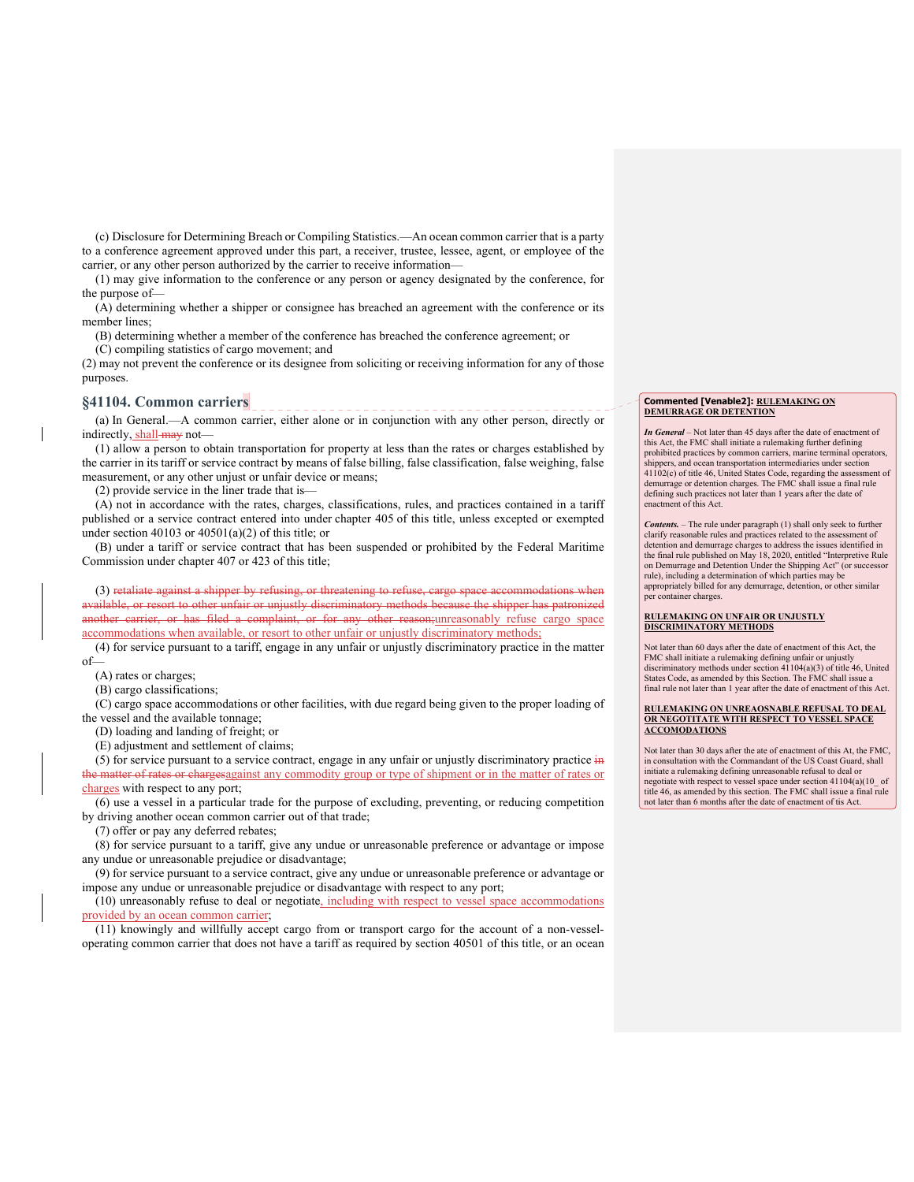(c) Disclosure for Determining Breach or Compiling Statistics.—An ocean common carrier that is a party to a conference agreement approved under this part, a receiver, trustee, lessee, agent, or employee of the carrier, or any other person authorized by the carrier to receive information—

(1) may give information to the conference or any person or agency designated by the conference, for the purpose of—

(A) determining whether a shipper or consignee has breached an agreement with the conference or its member lines;

(B) determining whether a member of the conference has breached the conference agreement; or

(C) compiling statistics of cargo movement; and

(2) may not prevent the conference or its designee from soliciting or receiving information for any of those purposes.

# **§41104. Common carriers**

(a) In General.—A common carrier, either alone or in conjunction with any other person, directly or indirectly, shall-may not-

(1) allow a person to obtain transportation for property at less than the rates or charges established by the carrier in its tariff or service contract by means of false billing, false classification, false weighing, false measurement, or any other unjust or unfair device or means;

(2) provide service in the liner trade that is—

(A) not in accordance with the rates, charges, classifications, rules, and practices contained in a tariff published or a service contract entered into under chapter 405 of this title, unless excepted or exempted under section 40103 or  $40501(a)(2)$  of this title; or

(B) under a tariff or service contract that has been suspended or prohibited by the Federal Maritime Commission under chapter 407 or 423 of this title;

(3) retaliate against a shipper by refusing, or threatening to refuse, cargo space accommodations when available, or resort to other unfair or unjustly discriminatory methods because the shipper has patronized another carrier, or has filed a complaint, or for any other reason;unreasonably refuse cargo space accommodations when available, or resort to other unfair or unjustly discriminatory methods;

(4) for service pursuant to a tariff, engage in any unfair or unjustly discriminatory practice in the matter of—

(A) rates or charges;

(B) cargo classifications;

(C) cargo space accommodations or other facilities, with due regard being given to the proper loading of the vessel and the available tonnage;

(D) loading and landing of freight; or

(E) adjustment and settlement of claims;

(5) for service pursuant to a service contract, engage in any unfair or unjustly discriminatory practice  $\frac{1}{10}$ the matter of rates or chargesagainst any commodity group or type of shipment or in the matter of rates or charges with respect to any port;

(6) use a vessel in a particular trade for the purpose of excluding, preventing, or reducing competition by driving another ocean common carrier out of that trade;

(7) offer or pay any deferred rebates;

(8) for service pursuant to a tariff, give any undue or unreasonable preference or advantage or impose any undue or unreasonable prejudice or disadvantage;

(9) for service pursuant to a service contract, give any undue or unreasonable preference or advantage or impose any undue or unreasonable prejudice or disadvantage with respect to any port;

(10) unreasonably refuse to deal or negotiate, including with respect to vessel space accommodations provided by an ocean common carrier;

(11) knowingly and willfully accept cargo from or transport cargo for the account of a non-vesseloperating common carrier that does not have a tariff as required by section 40501 of this title, or an ocean

#### **Commented [Venable2]: RULEMAKING ON DEMURRAGE OR DETENTION**

*In General* – Not later than 45 days after the date of enactment of this Act, the FMC shall initiate a rulemaking further defining prohibited practices by common carriers, marine terminal operators, shippers, and ocean transportation intermediaries under section  $41102(c)$  of title 46, United States Code, regarding the assessment of demurrage or detention charges. The FMC shall issue a final rule defining such practices not later than 1 years after the date of enactment of this Act.

*Contents.* – The rule under paragraph (1) shall only seek to further clarify reasonable rules and practices related to the assessment of detention and demurrage charges to address the issues identified in the final rule published on May 18, 2020, entitled "Interpretive Rule on Demurrage and Detention Under the Shipping Act" (or successor rule), including a determination of which parties may be appropriately billed for any demurrage, detention, or other similar per container charges.

# **RULEMAKING ON UNFAIR OR UNJUSTLY DISCRIMINATORY METHODS**

Not later than 60 days after the date of enactment of this Act, the FMC shall initiate a rulemaking defining unfair or unjustly discriminatory methods under section 41104(a)(3) of title 46, United States Code, as amended by this Section. The FMC shall issue a final rule not later than 1 year after the date of enactment of this Act.

#### **RULEMAKING ON UNREAOSNABLE REFUSAL TO DEAL OR NEGOTITATE WITH RESPECT TO VESSEL SPACE ACCOMODATIONS**

Not later than 30 days after the ate of enactment of this At, the FMC, in consultation with the Commandant of the US Coast Guard, shall initiate a rulemaking defining unreasonable refusal to deal or negotiate with respect to vessel space under section 41104(a)(10\_ of title 46, as amended by this section. The FMC shall issue a final rule not later than 6 months after the date of enactment of tis Act.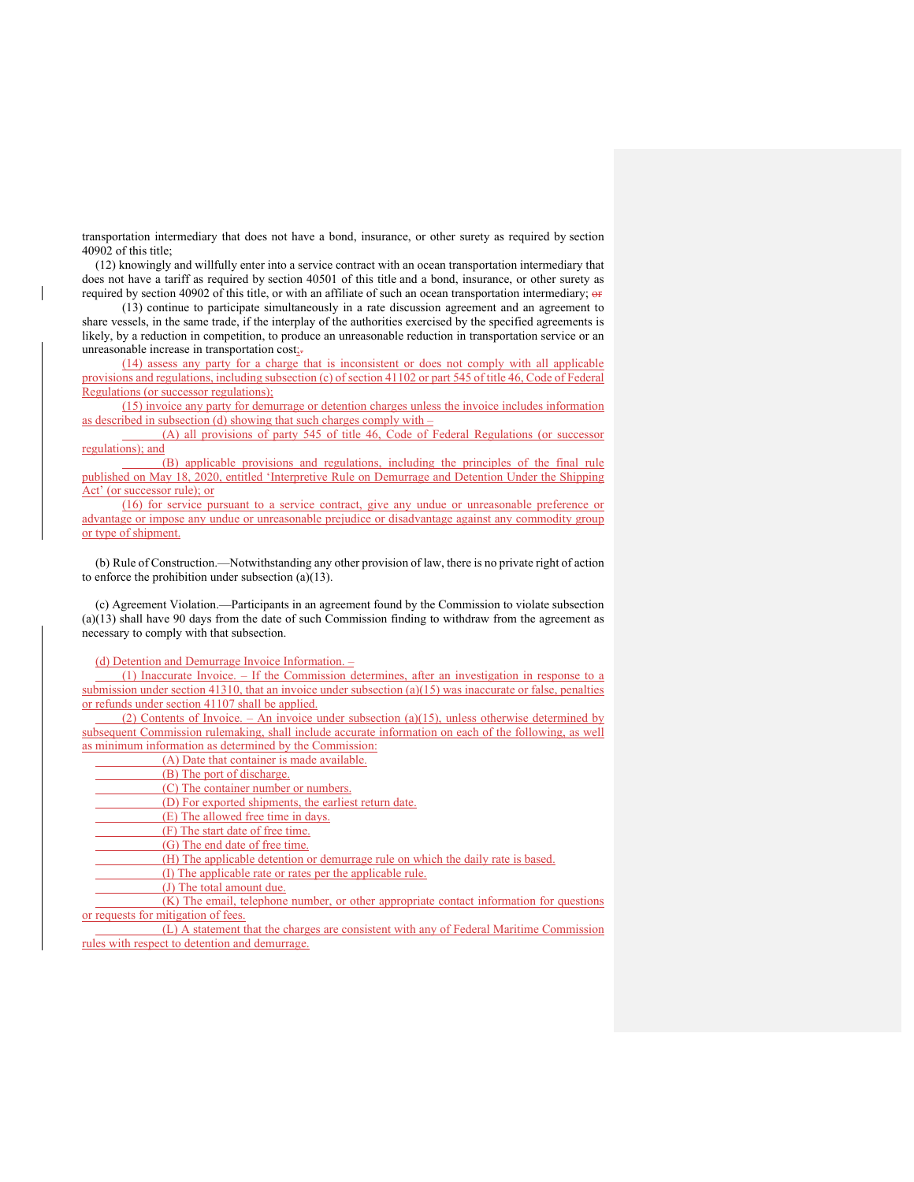transportation intermediary that does not have a bond, insurance, or other surety as required by section 40902 of this title;

(12) knowingly and willfully enter into a service contract with an ocean transportation intermediary that does not have a tariff as required by section 40501 of this title and a bond, insurance, or other surety as required by section 40902 of this title, or with an affiliate of such an ocean transportation intermediary; or

(13) continue to participate simultaneously in a rate discussion agreement and an agreement to share vessels, in the same trade, if the interplay of the authorities exercised by the specified agreements is likely, by a reduction in competition, to produce an unreasonable reduction in transportation service or an unreasonable increase in transportation cost;-

(14) assess any party for a charge that is inconsistent or does not comply with all applicable provisions and regulations, including subsection (c) of section 41102 or part 545 of title 46, Code of Federal Regulations (or successor regulations);

(15) invoice any party for demurrage or detention charges unless the invoice includes information as described in subsection (d) showing that such charges comply with –

 (A) all provisions of party 545 of title 46, Code of Federal Regulations (or successor regulations); and

 (B) applicable provisions and regulations, including the principles of the final rule published on May 18, 2020, entitled 'Interpretive Rule on Demurrage and Detention Under the Shipping Act' (or successor rule); or

(16) for service pursuant to a service contract, give any undue or unreasonable preference or advantage or impose any undue or unreasonable prejudice or disadvantage against any commodity group or type of shipment.

(b) Rule of Construction.—Notwithstanding any other provision of law, there is no private right of action to enforce the prohibition under subsection (a)(13).

(c) Agreement Violation.—Participants in an agreement found by the Commission to violate subsection (a)(13) shall have 90 days from the date of such Commission finding to withdraw from the agreement as necessary to comply with that subsection.

(d) Detention and Demurrage Invoice Information. –

 (1) Inaccurate Invoice. – If the Commission determines, after an investigation in response to a submission under section 41310, that an invoice under subsection  $(a)(15)$  was inaccurate or false, penalties or refunds under section 41107 shall be applied.

 (2) Contents of Invoice. – An invoice under subsection (a)(15), unless otherwise determined by subsequent Commission rulemaking, shall include accurate information on each of the following, as well as minimum information as determined by the Commission:

(A) Date that container is made available.

(B) The port of discharge.

(C) The container number or numbers.

(D) For exported shipments, the earliest return date.

(E) The allowed free time in days.

(F) The start date of free time.

(G) The end date of free time.

(H) The applicable detention or demurrage rule on which the daily rate is based.

(I) The applicable rate or rates per the applicable rule.

(J) The total amount due.

 (K) The email, telephone number, or other appropriate contact information for questions or requests for mitigation of fees.

 (L) A statement that the charges are consistent with any of Federal Maritime Commission rules with respect to detention and demurrage.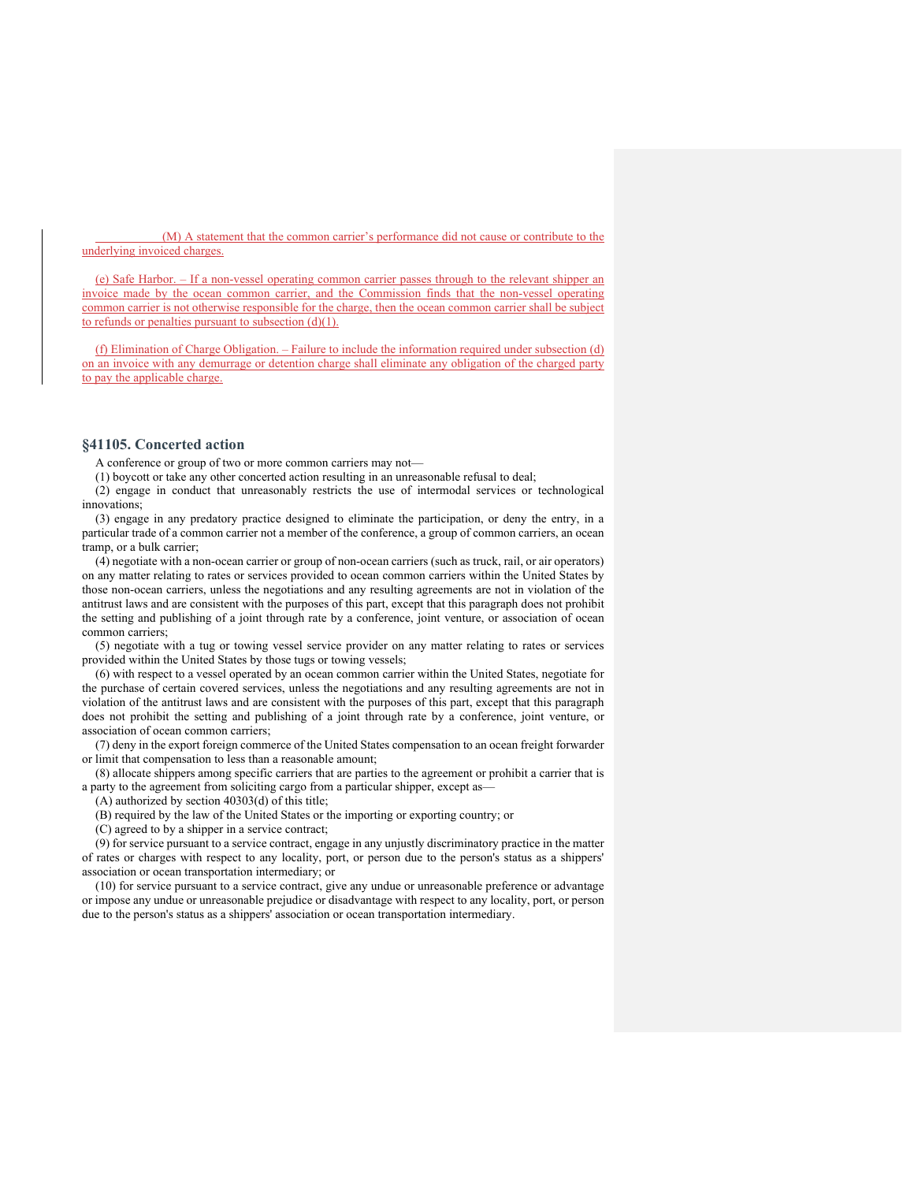(M) A statement that the common carrier's performance did not cause or contribute to the underlying invoiced charges.

(e) Safe Harbor. – If a non-vessel operating common carrier passes through to the relevant shipper an invoice made by the ocean common carrier, and the Commission finds that the non-vessel operating common carrier is not otherwise responsible for the charge, then the ocean common carrier shall be subject to refunds or penalties pursuant to subsection  $(d)(1)$ .

(f) Elimination of Charge Obligation. – Failure to include the information required under subsection (d) on an invoice with any demurrage or detention charge shall eliminate any obligation of the charged party to pay the applicable charge.

#### **§41105. Concerted action**

A conference or group of two or more common carriers may not—

(1) boycott or take any other concerted action resulting in an unreasonable refusal to deal;

(2) engage in conduct that unreasonably restricts the use of intermodal services or technological innovations;

(3) engage in any predatory practice designed to eliminate the participation, or deny the entry, in a particular trade of a common carrier not a member of the conference, a group of common carriers, an ocean tramp, or a bulk carrier;

(4) negotiate with a non-ocean carrier or group of non-ocean carriers (such as truck, rail, or air operators) on any matter relating to rates or services provided to ocean common carriers within the United States by those non-ocean carriers, unless the negotiations and any resulting agreements are not in violation of the antitrust laws and are consistent with the purposes of this part, except that this paragraph does not prohibit the setting and publishing of a joint through rate by a conference, joint venture, or association of ocean common carriers;

(5) negotiate with a tug or towing vessel service provider on any matter relating to rates or services provided within the United States by those tugs or towing vessels;

(6) with respect to a vessel operated by an ocean common carrier within the United States, negotiate for the purchase of certain covered services, unless the negotiations and any resulting agreements are not in violation of the antitrust laws and are consistent with the purposes of this part, except that this paragraph does not prohibit the setting and publishing of a joint through rate by a conference, joint venture, or association of ocean common carriers;

(7) deny in the export foreign commerce of the United States compensation to an ocean freight forwarder or limit that compensation to less than a reasonable amount;

(8) allocate shippers among specific carriers that are parties to the agreement or prohibit a carrier that is a party to the agreement from soliciting cargo from a particular shipper, except as—

(A) authorized by section 40303(d) of this title;

(B) required by the law of the United States or the importing or exporting country; or

(C) agreed to by a shipper in a service contract;

(9) for service pursuant to a service contract, engage in any unjustly discriminatory practice in the matter of rates or charges with respect to any locality, port, or person due to the person's status as a shippers' association or ocean transportation intermediary; or

(10) for service pursuant to a service contract, give any undue or unreasonable preference or advantage or impose any undue or unreasonable prejudice or disadvantage with respect to any locality, port, or person due to the person's status as a shippers' association or ocean transportation intermediary.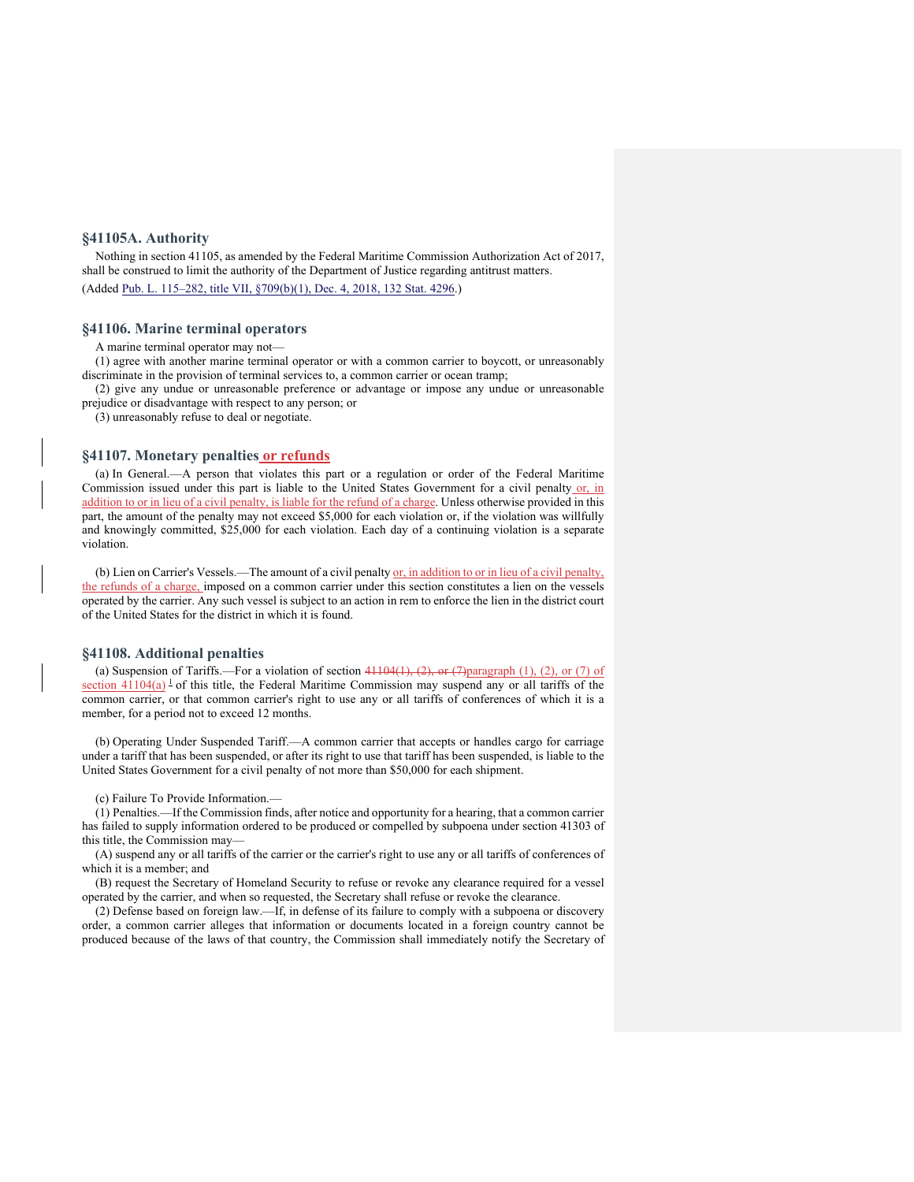# **§41105A. Authority**

Nothing in section 41105, as amended by the Federal Maritime Commission Authorization Act of 2017, shall be construed to limit the authority of the Department of Justice regarding antitrust matters. (Added Pub. L. 115–282, title VII, §709(b)(1), Dec. 4, 2018, 132 Stat. 4296.)

#### **§41106. Marine terminal operators**

A marine terminal operator may not—

(1) agree with another marine terminal operator or with a common carrier to boycott, or unreasonably discriminate in the provision of terminal services to, a common carrier or ocean tramp;

(2) give any undue or unreasonable preference or advantage or impose any undue or unreasonable prejudice or disadvantage with respect to any person; or

(3) unreasonably refuse to deal or negotiate.

# **§41107. Monetary penalties or refunds**

(a) In General.—A person that violates this part or a regulation or order of the Federal Maritime Commission issued under this part is liable to the United States Government for a civil penalty or, in addition to or in lieu of a civil penalty, is liable for the refund of a charge. Unless otherwise provided in this part, the amount of the penalty may not exceed \$5,000 for each violation or, if the violation was willfully and knowingly committed, \$25,000 for each violation. Each day of a continuing violation is a separate violation.

(b) Lien on Carrier's Vessels.—The amount of a civil penalty  $\sigma$ , in addition to or in lieu of a civil penalty, the refunds of a charge, imposed on a common carrier under this section constitutes a lien on the vessels operated by the carrier. Any such vessel is subject to an action in rem to enforce the lien in the district court of the United States for the district in which it is found.

#### **§41108. Additional penalties**

(a) Suspension of Tariffs.—For a violation of section  $41104(1)$ ,  $(2)$ , or  $(7)$  paragraph (1), (2), or (7) of section  $41104(a)$ <sup>1</sup> of this title, the Federal Maritime Commission may suspend any or all tariffs of the common carrier, or that common carrier's right to use any or all tariffs of conferences of which it is a member, for a period not to exceed 12 months.

(b) Operating Under Suspended Tariff.—A common carrier that accepts or handles cargo for carriage under a tariff that has been suspended, or after its right to use that tariff has been suspended, is liable to the United States Government for a civil penalty of not more than \$50,000 for each shipment.

#### (c) Failure To Provide Information.—

(1) Penalties.—If the Commission finds, after notice and opportunity for a hearing, that a common carrier has failed to supply information ordered to be produced or compelled by subpoena under section 41303 of this title, the Commission may—

(A) suspend any or all tariffs of the carrier or the carrier's right to use any or all tariffs of conferences of which it is a member; and

(B) request the Secretary of Homeland Security to refuse or revoke any clearance required for a vessel operated by the carrier, and when so requested, the Secretary shall refuse or revoke the clearance.

(2) Defense based on foreign law.—If, in defense of its failure to comply with a subpoena or discovery order, a common carrier alleges that information or documents located in a foreign country cannot be produced because of the laws of that country, the Commission shall immediately notify the Secretary of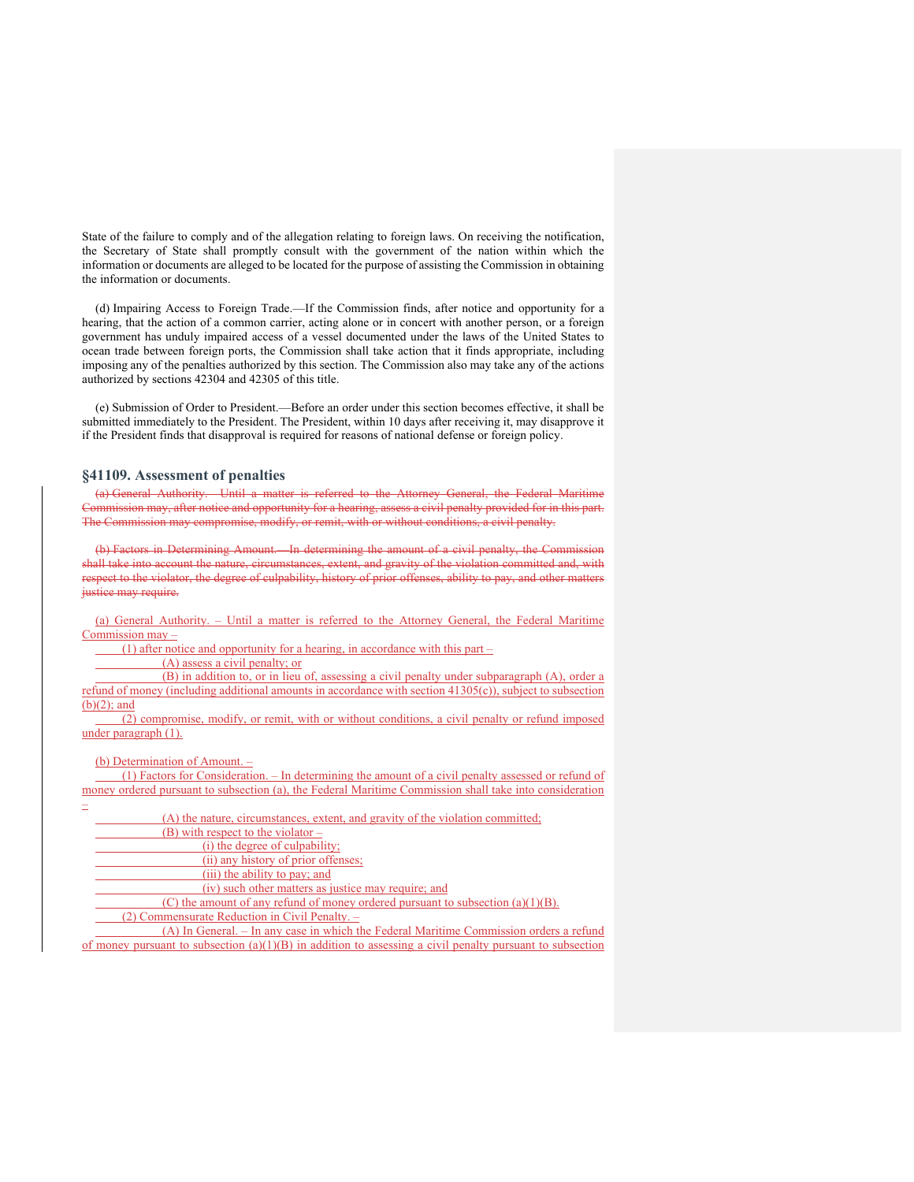State of the failure to comply and of the allegation relating to foreign laws. On receiving the notification, the Secretary of State shall promptly consult with the government of the nation within which the information or documents are alleged to be located for the purpose of assisting the Commission in obtaining the information or documents.

(d) Impairing Access to Foreign Trade.—If the Commission finds, after notice and opportunity for a hearing, that the action of a common carrier, acting alone or in concert with another person, or a foreign government has unduly impaired access of a vessel documented under the laws of the United States to ocean trade between foreign ports, the Commission shall take action that it finds appropriate, including imposing any of the penalties authorized by this section. The Commission also may take any of the actions authorized by sections 42304 and 42305 of this title.

(e) Submission of Order to President.—Before an order under this section becomes effective, it shall be submitted immediately to the President. The President, within 10 days after receiving it, may disapprove it if the President finds that disapproval is required for reasons of national defense or foreign policy.

# **§41109. Assessment of penalties**

(a) General Authority.—Until a matter is referred to the Attorney General, the Federal Maritime Commission may, after notice and opportunity for a hearing, assess a civil penalty provided for in this part. The Commission may compromise, modify, or remit, with or without conditions, a civil penalty.

(b) Factors in Determining Amount.—In determining the amount of a civil penalty, the Commission shall take into account the nature, circumstances, extent, and gravity of the violation committed and, with respect to the violator, the degree of culpability, history of prior offenses, ability to pay, and other matters justice may require.

(a) General Authority. – Until a matter is referred to the Attorney General, the Federal Maritime Commission may –

(1) after notice and opportunity for a hearing, in accordance with this part –

(A) assess a civil penalty; or

 (B) in addition to, or in lieu of, assessing a civil penalty under subparagraph (A), order a refund of money (including additional amounts in accordance with section 41305(c)), subject to subsection  $(b)(2)$ ; and

 (2) compromise, modify, or remit, with or without conditions, a civil penalty or refund imposed under paragraph (1).

#### (b) Determination of Amount. –

 (1) Factors for Consideration. – In determining the amount of a civil penalty assessed or refund of money ordered pursuant to subsection (a), the Federal Maritime Commission shall take into consideration

– (A) the nature, circumstances, extent, and gravity of the violation committed;

(B) with respect to the violator –

(i) the degree of culpability;

(ii) any history of prior offenses;

(iii) the ability to pay; and

(iv) such other matters as justice may require; and

(C) the amount of any refund of money ordered pursuant to subsection  $(a)(1)(B)$ .

(2) Commensurate Reduction in Civil Penalty. –

 (A) In General. – In any case in which the Federal Maritime Commission orders a refund of money pursuant to subsection  $(a)(1)(B)$  in addition to assessing a civil penalty pursuant to subsection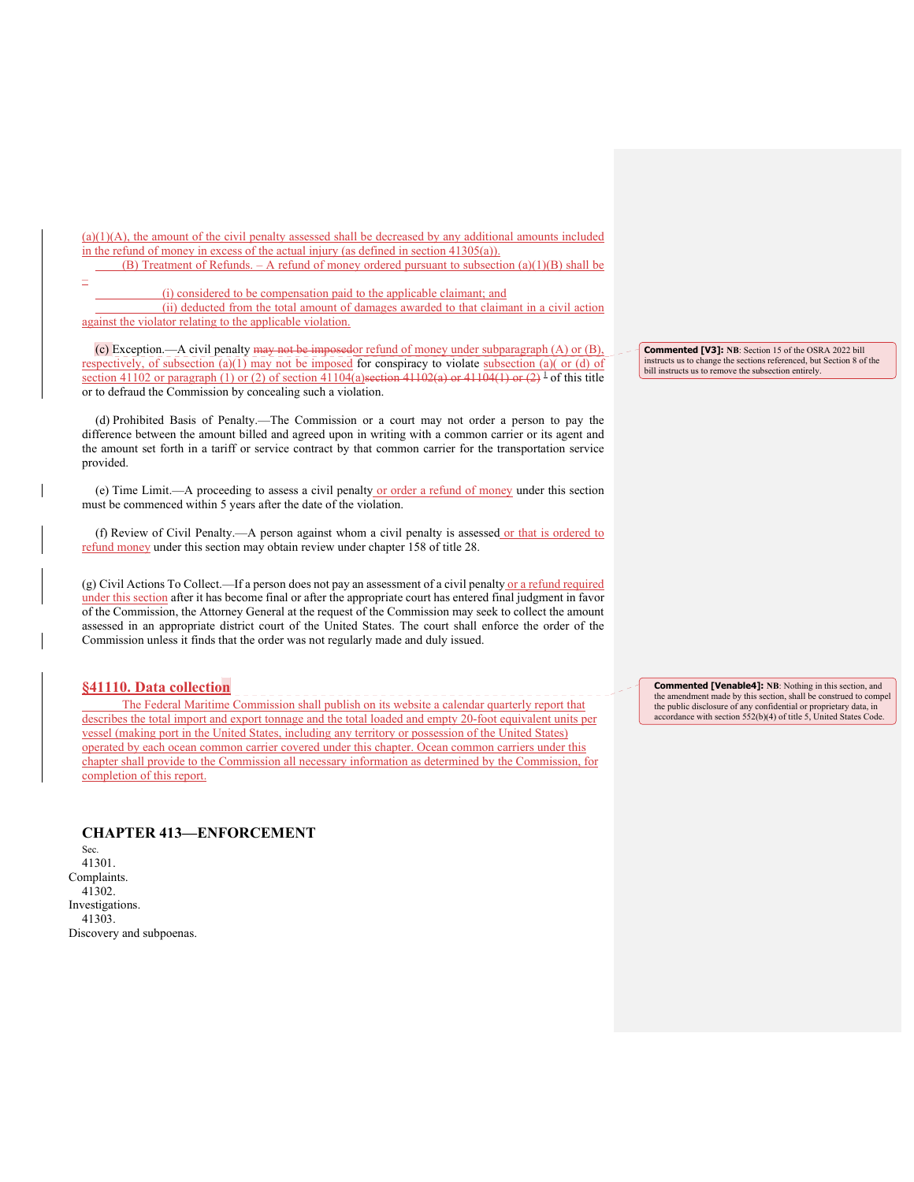$(a)(1)(A)$ , the amount of the civil penalty assessed shall be decreased by any additional amounts included in the refund of money in excess of the actual injury (as defined in section 41305(a)).

(B) Treatment of Refunds.  $- A$  refund of money ordered pursuant to subsection (a)(1)(B) shall be –

(i) considered to be compensation paid to the applicable claimant; and

 (ii) deducted from the total amount of damages awarded to that claimant in a civil action against the violator relating to the applicable violation.

(c) Exception.—A civil penalty may not be imposedor refund of money under subparagraph (A) or (B), respectively, of subsection (a)(1) may not be imposed for conspiracy to violate subsection (a)( or (d) of section 41102 or paragraph (1) or (2) of section 41104(a) section 41102(a) or 41104(1) or (2) <sup>1</sup> of this title or to defraud the Commission by concealing such a violation.

(d) Prohibited Basis of Penalty.—The Commission or a court may not order a person to pay the difference between the amount billed and agreed upon in writing with a common carrier or its agent and the amount set forth in a tariff or service contract by that common carrier for the transportation service provided.

(e) Time Limit.—A proceeding to assess a civil penalty or order a refund of money under this section must be commenced within 5 years after the date of the violation.

(f) Review of Civil Penalty.—A person against whom a civil penalty is assessed or that is ordered to refund money under this section may obtain review under chapter 158 of title 28.

(g) Civil Actions To Collect.—If a person does not pay an assessment of a civil penalty or a refund required under this section after it has become final or after the appropriate court has entered final judgment in favor of the Commission, the Attorney General at the request of the Commission may seek to collect the amount assessed in an appropriate district court of the United States. The court shall enforce the order of the Commission unless it finds that the order was not regularly made and duly issued.

# **§41110. Data collection**

 The Federal Maritime Commission shall publish on its website a calendar quarterly report that describes the total import and export tonnage and the total loaded and empty 20-foot equivalent units per vessel (making port in the United States, including any territory or possession of the United States) operated by each ocean common carrier covered under this chapter. Ocean common carriers under this chapter shall provide to the Commission all necessary information as determined by the Commission, for completion of this report.

**Commented [V3]: NB**: Section 15 of the OSRA 2022 bill instructs us to change the sections referenced, but Section 8 of the bill instructs us to remove the subsection entirely.

**Commented [Venable4]: NB**: Nothing in this section, and the amendment made by this section, shall be construed to compel the public disclosure of any confidential or proprietary data, in accordance with section 552(b)(4) of title 5, United States Code.

**CHAPTER 413—ENFORCEMENT**  Sec. 41301. Complaints. 41302. Investigations. 41303. Discovery and subpoenas.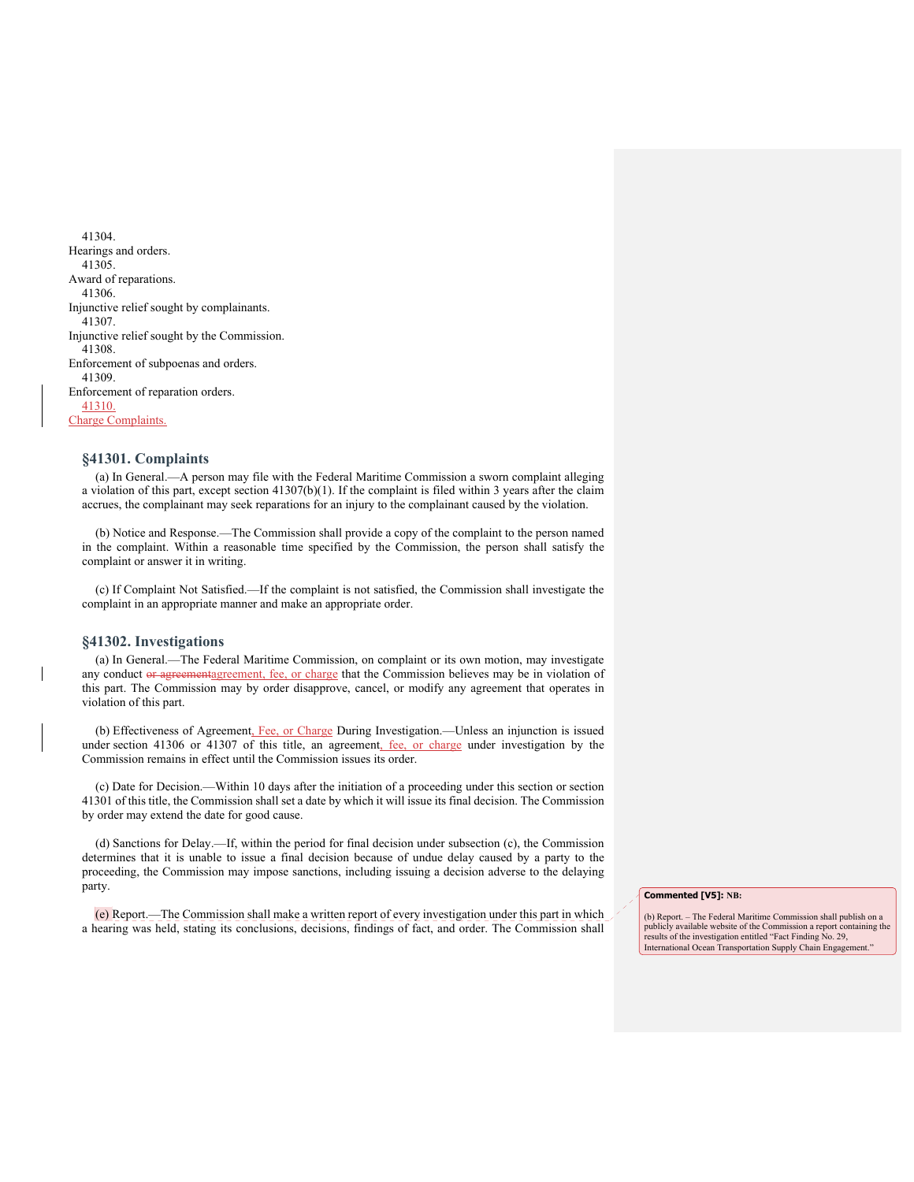41304. Hearings and orders. 41305. Award of reparations. 41306. Injunctive relief sought by complainants. 41307. Injunctive relief sought by the Commission. 41308. Enforcement of subpoenas and orders. 41309. Enforcement of reparation orders. 41310. Charge Complaints.

# **§41301. Complaints**

(a) In General.—A person may file with the Federal Maritime Commission a sworn complaint alleging a violation of this part, except section 41307(b)(1). If the complaint is filed within 3 years after the claim accrues, the complainant may seek reparations for an injury to the complainant caused by the violation.

(b) Notice and Response.—The Commission shall provide a copy of the complaint to the person named in the complaint. Within a reasonable time specified by the Commission, the person shall satisfy the complaint or answer it in writing.

(c) If Complaint Not Satisfied.—If the complaint is not satisfied, the Commission shall investigate the complaint in an appropriate manner and make an appropriate order.

# **§41302. Investigations**

(a) In General.—The Federal Maritime Commission, on complaint or its own motion, may investigate any conduct or agreementagreement, fee, or charge that the Commission believes may be in violation of this part. The Commission may by order disapprove, cancel, or modify any agreement that operates in violation of this part.

(b) Effectiveness of Agreement, Fee, or Charge During Investigation.—Unless an injunction is issued under section 41306 or 41307 of this title, an agreement, fee, or charge under investigation by the Commission remains in effect until the Commission issues its order.

(c) Date for Decision.—Within 10 days after the initiation of a proceeding under this section or section 41301 of this title, the Commission shall set a date by which it will issue its final decision. The Commission by order may extend the date for good cause.

(d) Sanctions for Delay.—If, within the period for final decision under subsection (c), the Commission determines that it is unable to issue a final decision because of undue delay caused by a party to the proceeding, the Commission may impose sanctions, including issuing a decision adverse to the delaying party.

(e) Report.—The Commission shall make a written report of every investigation under this part in which a hearing was held, stating its conclusions, decisions, findings of fact, and order. The Commission shall

#### **Commented [V5]: NB:**

(b) Report. – The Federal Maritime Commission shall publish on a publicly available website of the Commission a report containing the results of the investigation entitled "Fact Finding No. 29, International Ocean Transportation Supply Chain Engagement.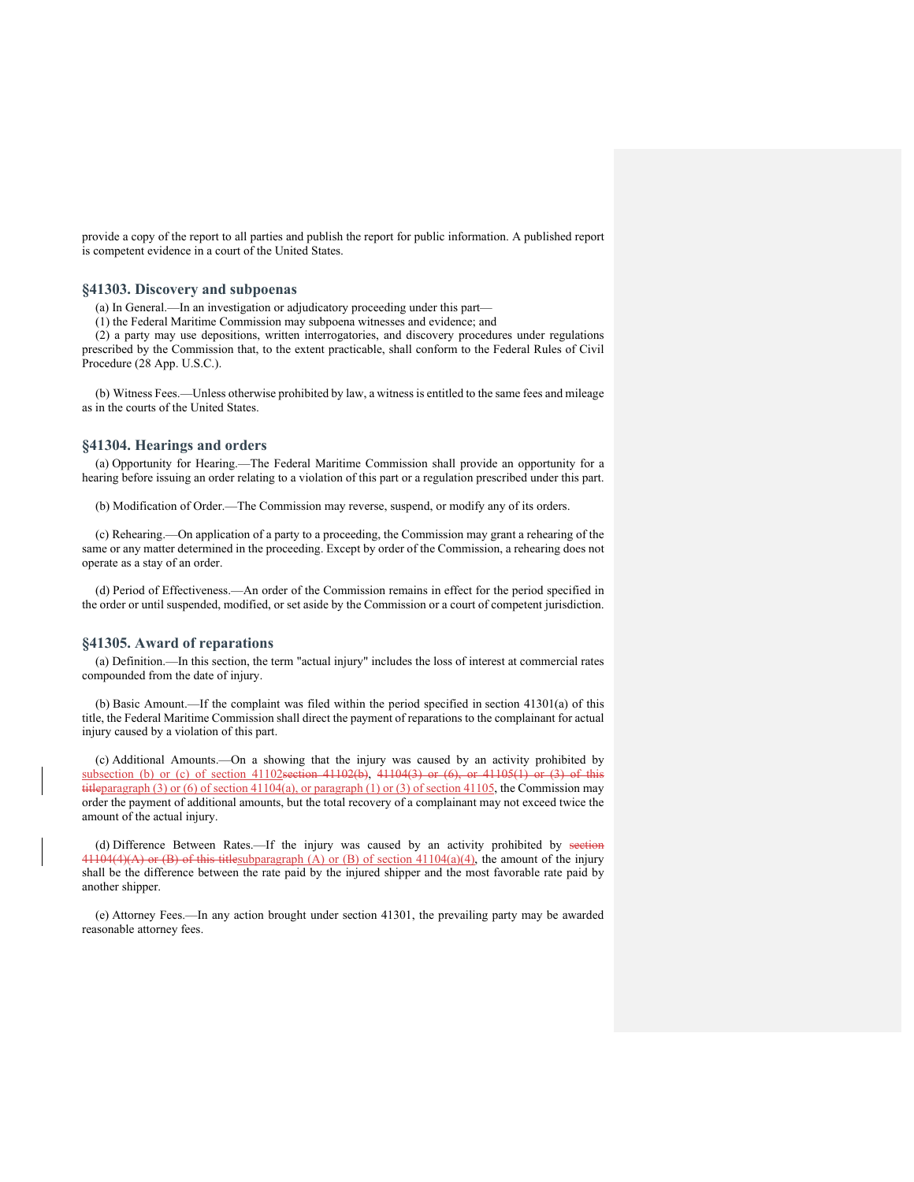provide a copy of the report to all parties and publish the report for public information. A published report is competent evidence in a court of the United States.

#### **§41303. Discovery and subpoenas**

(a) In General.—In an investigation or adjudicatory proceeding under this part—

(1) the Federal Maritime Commission may subpoena witnesses and evidence; and

(2) a party may use depositions, written interrogatories, and discovery procedures under regulations prescribed by the Commission that, to the extent practicable, shall conform to the Federal Rules of Civil Procedure (28 App. U.S.C.).

(b) Witness Fees.—Unless otherwise prohibited by law, a witness is entitled to the same fees and mileage as in the courts of the United States.

# **§41304. Hearings and orders**

(a) Opportunity for Hearing.—The Federal Maritime Commission shall provide an opportunity for a hearing before issuing an order relating to a violation of this part or a regulation prescribed under this part.

(b) Modification of Order.—The Commission may reverse, suspend, or modify any of its orders.

(c) Rehearing.—On application of a party to a proceeding, the Commission may grant a rehearing of the same or any matter determined in the proceeding. Except by order of the Commission, a rehearing does not operate as a stay of an order.

(d) Period of Effectiveness.—An order of the Commission remains in effect for the period specified in the order or until suspended, modified, or set aside by the Commission or a court of competent jurisdiction.

# **§41305. Award of reparations**

(a) Definition.—In this section, the term "actual injury" includes the loss of interest at commercial rates compounded from the date of injury.

(b) Basic Amount.—If the complaint was filed within the period specified in section 41301(a) of this title, the Federal Maritime Commission shall direct the payment of reparations to the complainant for actual injury caused by a violation of this part.

(c) Additional Amounts.—On a showing that the injury was caused by an activity prohibited by subsection (b) or (c) of section 41102section 41102(b), 41104(3) or (6), or 41105(1) or (3) of this titleparagraph (3) or (6) of section 41104(a), or paragraph (1) or (3) of section 41105, the Commission may order the payment of additional amounts, but the total recovery of a complainant may not exceed twice the amount of the actual injury.

(d) Difference Between Rates.—If the injury was caused by an activity prohibited by section  $41104(4)(A)$  or (B) of this titlesubparagraph (A) or (B) of section  $41104(a)(4)$ , the amount of the injury shall be the difference between the rate paid by the injured shipper and the most favorable rate paid by another shipper.

(e) Attorney Fees.—In any action brought under section 41301, the prevailing party may be awarded reasonable attorney fees.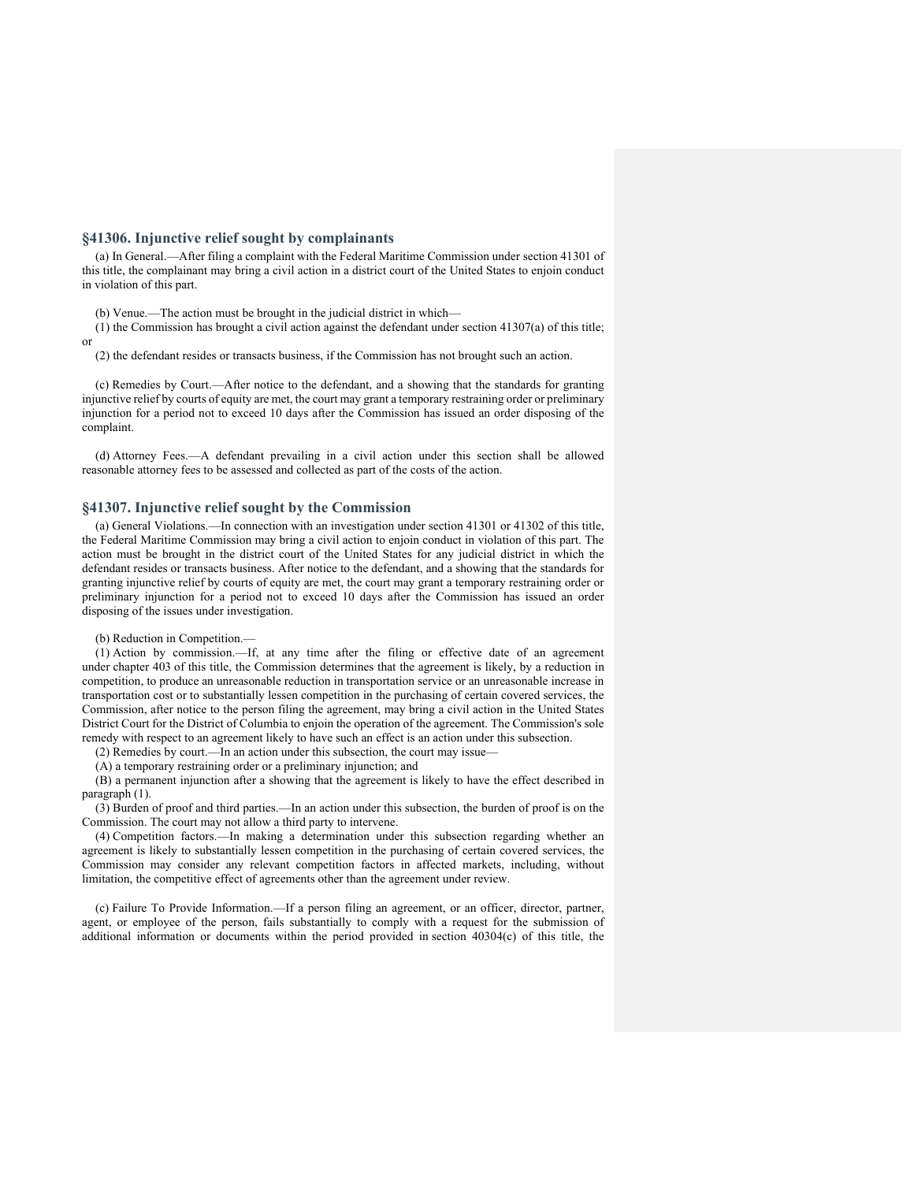# **§41306. Injunctive relief sought by complainants**

(a) In General.—After filing a complaint with the Federal Maritime Commission under section 41301 of this title, the complainant may bring a civil action in a district court of the United States to enjoin conduct in violation of this part.

(b) Venue.—The action must be brought in the judicial district in which—

(1) the Commission has brought a civil action against the defendant under section 41307(a) of this title; or

(2) the defendant resides or transacts business, if the Commission has not brought such an action.

(c) Remedies by Court.—After notice to the defendant, and a showing that the standards for granting injunctive relief by courts of equity are met, the court may grant a temporary restraining order or preliminary injunction for a period not to exceed 10 days after the Commission has issued an order disposing of the complaint.

(d) Attorney Fees.—A defendant prevailing in a civil action under this section shall be allowed reasonable attorney fees to be assessed and collected as part of the costs of the action.

#### **§41307. Injunctive relief sought by the Commission**

(a) General Violations.—In connection with an investigation under section 41301 or 41302 of this title, the Federal Maritime Commission may bring a civil action to enjoin conduct in violation of this part. The action must be brought in the district court of the United States for any judicial district in which the defendant resides or transacts business. After notice to the defendant, and a showing that the standards for granting injunctive relief by courts of equity are met, the court may grant a temporary restraining order or preliminary injunction for a period not to exceed 10 days after the Commission has issued an order disposing of the issues under investigation.

#### (b) Reduction in Competition.—

(1) Action by commission.—If, at any time after the filing or effective date of an agreement under chapter 403 of this title, the Commission determines that the agreement is likely, by a reduction in competition, to produce an unreasonable reduction in transportation service or an unreasonable increase in transportation cost or to substantially lessen competition in the purchasing of certain covered services, the Commission, after notice to the person filing the agreement, may bring a civil action in the United States District Court for the District of Columbia to enjoin the operation of the agreement. The Commission's sole remedy with respect to an agreement likely to have such an effect is an action under this subsection.

(2) Remedies by court.—In an action under this subsection, the court may issue—

(A) a temporary restraining order or a preliminary injunction; and

(B) a permanent injunction after a showing that the agreement is likely to have the effect described in paragraph (1).

(3) Burden of proof and third parties.—In an action under this subsection, the burden of proof is on the Commission. The court may not allow a third party to intervene.

(4) Competition factors.—In making a determination under this subsection regarding whether an agreement is likely to substantially lessen competition in the purchasing of certain covered services, the Commission may consider any relevant competition factors in affected markets, including, without limitation, the competitive effect of agreements other than the agreement under review.

(c) Failure To Provide Information.—If a person filing an agreement, or an officer, director, partner, agent, or employee of the person, fails substantially to comply with a request for the submission of additional information or documents within the period provided in section 40304(c) of this title, the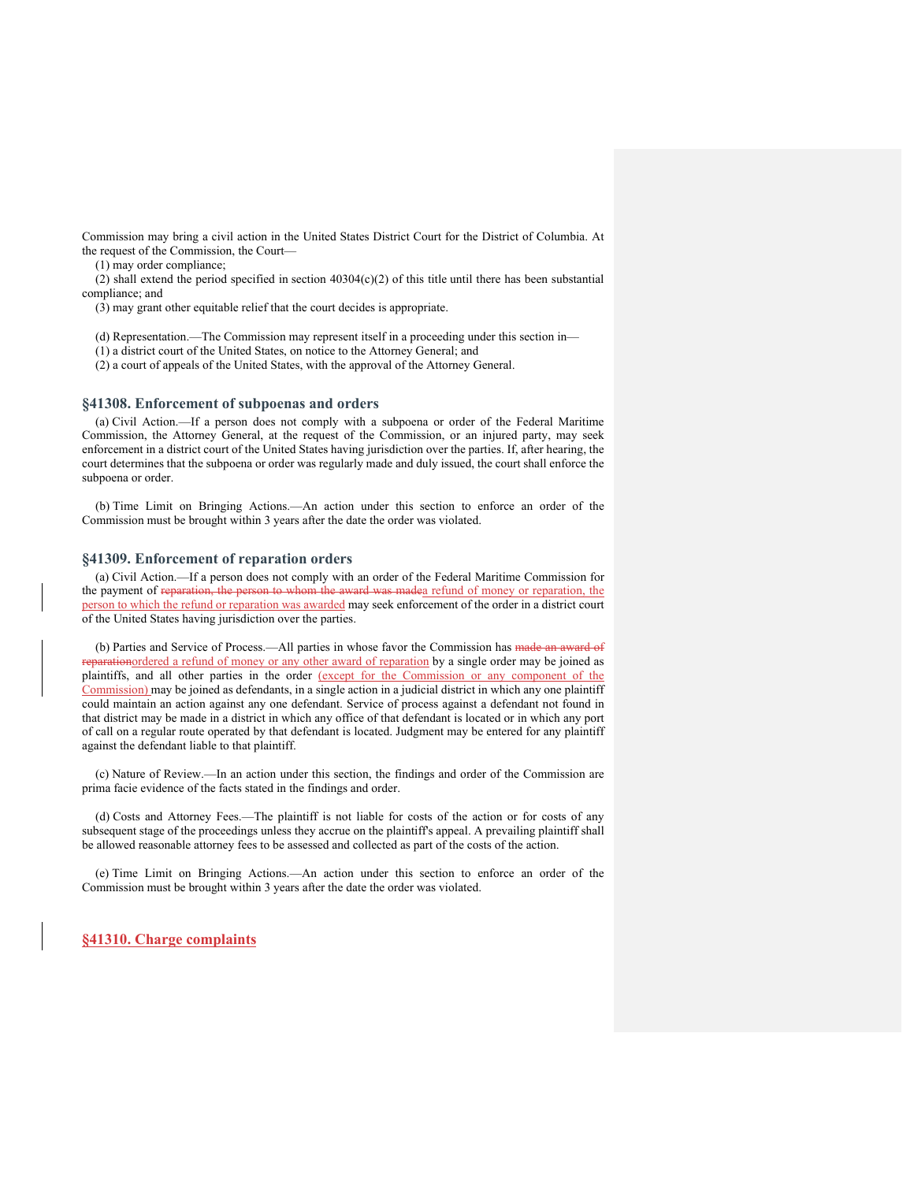Commission may bring a civil action in the United States District Court for the District of Columbia. At the request of the Commission, the Court—

(1) may order compliance;

(2) shall extend the period specified in section  $40304(c)(2)$  of this title until there has been substantial compliance; and

(3) may grant other equitable relief that the court decides is appropriate.

(d) Representation.—The Commission may represent itself in a proceeding under this section in—

(1) a district court of the United States, on notice to the Attorney General; and

(2) a court of appeals of the United States, with the approval of the Attorney General.

#### **§41308. Enforcement of subpoenas and orders**

(a) Civil Action.—If a person does not comply with a subpoena or order of the Federal Maritime Commission, the Attorney General, at the request of the Commission, or an injured party, may seek enforcement in a district court of the United States having jurisdiction over the parties. If, after hearing, the court determines that the subpoena or order was regularly made and duly issued, the court shall enforce the subpoena or order.

(b) Time Limit on Bringing Actions.—An action under this section to enforce an order of the Commission must be brought within 3 years after the date the order was violated.

#### **§41309. Enforcement of reparation orders**

(a) Civil Action.—If a person does not comply with an order of the Federal Maritime Commission for the payment of reparation, the person to whom the award was madea refund of money or reparation, the person to which the refund or reparation was awarded may seek enforcement of the order in a district court of the United States having jurisdiction over the parties.

(b) Parties and Service of Process.—All parties in whose favor the Commission has made an award of reparationordered a refund of money or any other award of reparation by a single order may be joined as plaintiffs, and all other parties in the order (except for the Commission or any component of the Commission) may be joined as defendants, in a single action in a judicial district in which any one plaintiff could maintain an action against any one defendant. Service of process against a defendant not found in that district may be made in a district in which any office of that defendant is located or in which any port of call on a regular route operated by that defendant is located. Judgment may be entered for any plaintiff against the defendant liable to that plaintiff.

(c) Nature of Review.—In an action under this section, the findings and order of the Commission are prima facie evidence of the facts stated in the findings and order.

(d) Costs and Attorney Fees.—The plaintiff is not liable for costs of the action or for costs of any subsequent stage of the proceedings unless they accrue on the plaintiff's appeal. A prevailing plaintiff shall be allowed reasonable attorney fees to be assessed and collected as part of the costs of the action.

(e) Time Limit on Bringing Actions.—An action under this section to enforce an order of the Commission must be brought within 3 years after the date the order was violated.

**§41310. Charge complaints**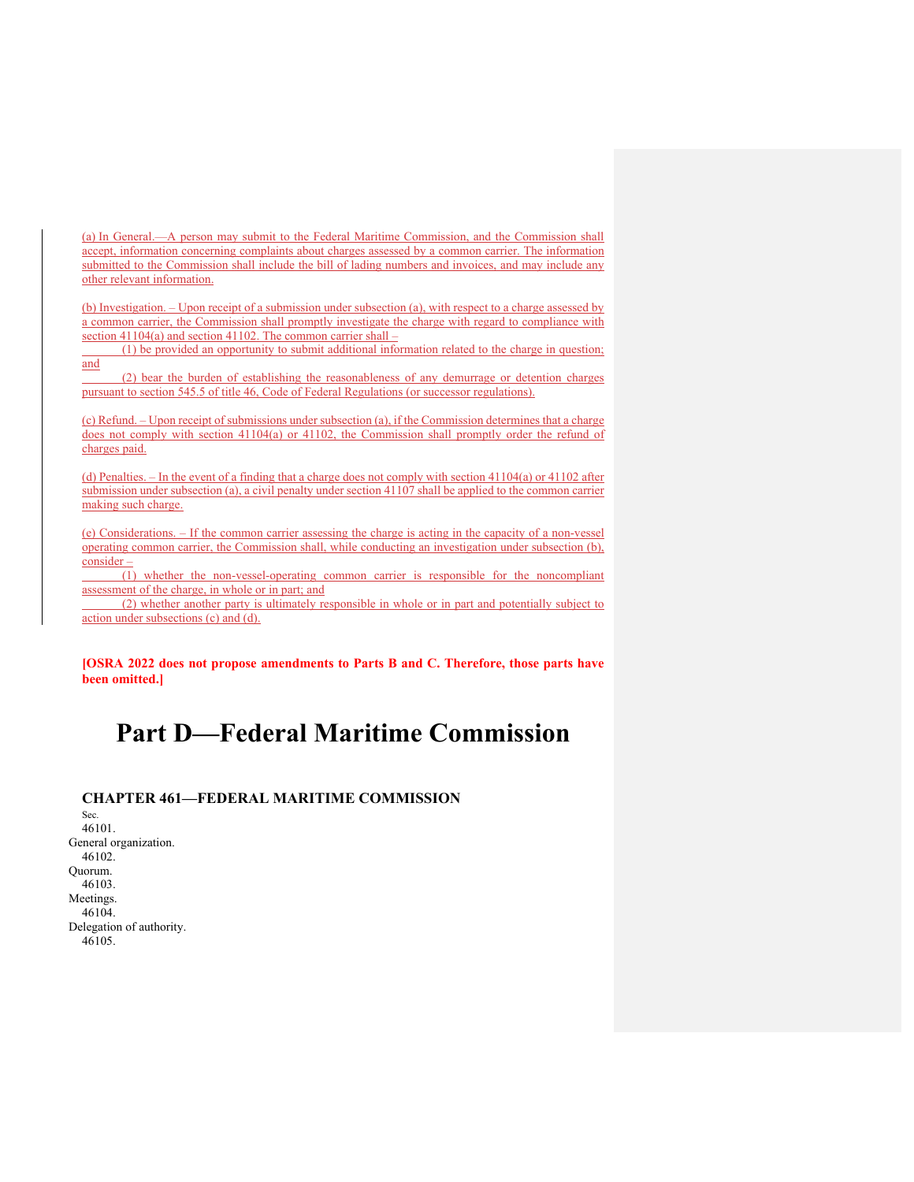(a) In General.—A person may submit to the Federal Maritime Commission, and the Commission shall accept, information concerning complaints about charges assessed by a common carrier. The information submitted to the Commission shall include the bill of lading numbers and invoices, and may include any other relevant information.

(b) Investigation. – Upon receipt of a submission under subsection (a), with respect to a charge assessed by a common carrier, the Commission shall promptly investigate the charge with regard to compliance with section 41104(a) and section 41102. The common carrier shall –

 (1) be provided an opportunity to submit additional information related to the charge in question; and

 (2) bear the burden of establishing the reasonableness of any demurrage or detention charges pursuant to section 545.5 of title 46, Code of Federal Regulations (or successor regulations).

(c) Refund. – Upon receipt of submissions under subsection (a), if the Commission determines that a charge does not comply with section 41104(a) or 41102, the Commission shall promptly order the refund of charges paid.

(d) Penalties. – In the event of a finding that a charge does not comply with section 41104(a) or 41102 after submission under subsection (a), a civil penalty under section 41107 shall be applied to the common carrier making such charge.

(e) Considerations. – If the common carrier assessing the charge is acting in the capacity of a non-vessel operating common carrier, the Commission shall, while conducting an investigation under subsection (b), consider –

 (1) whether the non-vessel-operating common carrier is responsible for the noncompliant assessment of the charge, in whole or in part; and

 (2) whether another party is ultimately responsible in whole or in part and potentially subject to action under subsections (c) and (d).

**[OSRA 2022 does not propose amendments to Parts B and C. Therefore, those parts have been omitted.]** 

# **Part D—Federal Maritime Commission**

# **CHAPTER 461—FEDERAL MARITIME COMMISSION**

Sec. 46101. General organization. 46102. Quorum. 46103. Meetings. 46104. Delegation of authority. 46105.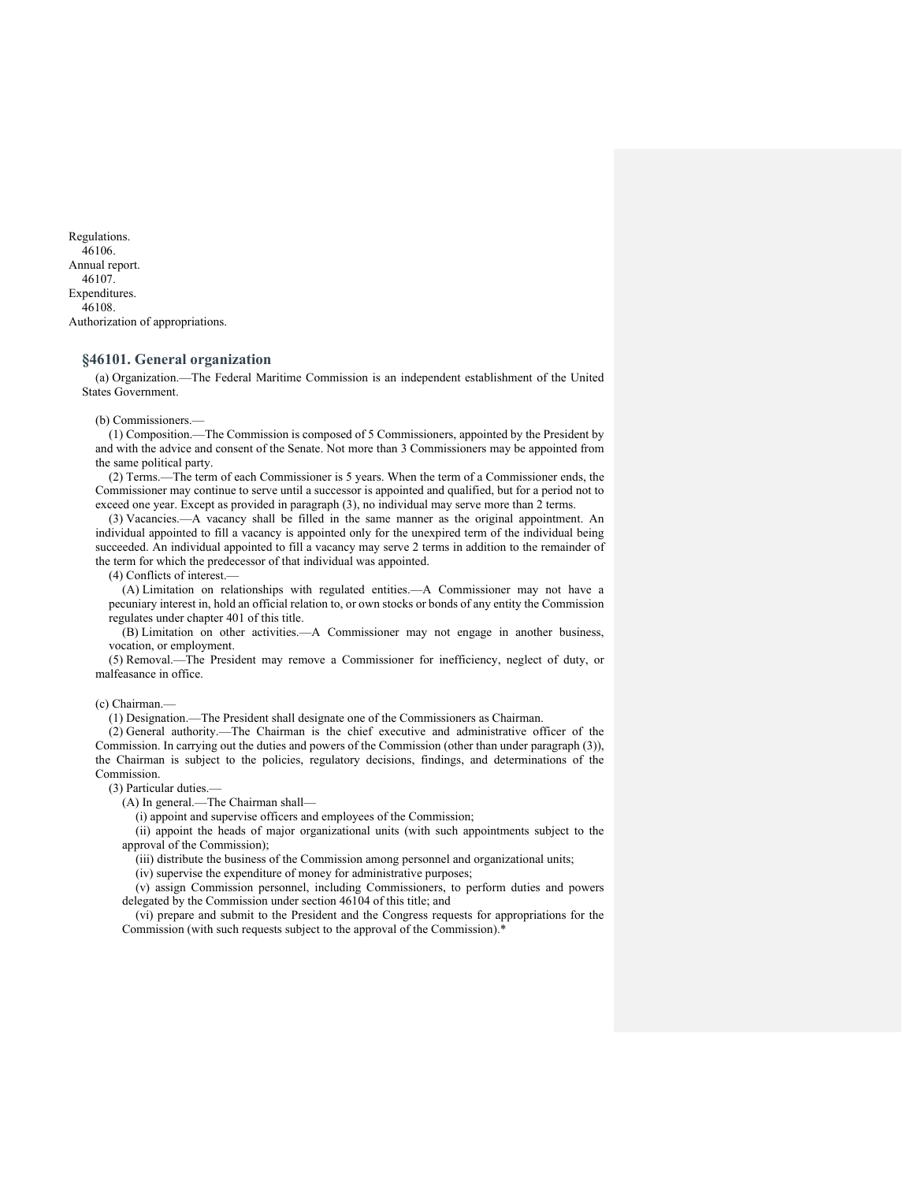Regulations. 46106. Annual report. 46107. Expenditures. 46108. Authorization of appropriations.

# **§46101. General organization**

(a) Organization.—The Federal Maritime Commission is an independent establishment of the United States Government.

#### (b) Commissioners.—

(1) Composition.—The Commission is composed of 5 Commissioners, appointed by the President by and with the advice and consent of the Senate. Not more than 3 Commissioners may be appointed from the same political party.

(2) Terms.—The term of each Commissioner is 5 years. When the term of a Commissioner ends, the Commissioner may continue to serve until a successor is appointed and qualified, but for a period not to exceed one year. Except as provided in paragraph (3), no individual may serve more than 2 terms.

(3) Vacancies.—A vacancy shall be filled in the same manner as the original appointment. An individual appointed to fill a vacancy is appointed only for the unexpired term of the individual being succeeded. An individual appointed to fill a vacancy may serve 2 terms in addition to the remainder of the term for which the predecessor of that individual was appointed.

#### (4) Conflicts of interest.—

(A) Limitation on relationships with regulated entities.—A Commissioner may not have a pecuniary interest in, hold an official relation to, or own stocks or bonds of any entity the Commission regulates under chapter 401 of this title.

(B) Limitation on other activities.—A Commissioner may not engage in another business, vocation, or employment.

(5) Removal.—The President may remove a Commissioner for inefficiency, neglect of duty, or malfeasance in office.

#### (c) Chairman.—

(1) Designation.—The President shall designate one of the Commissioners as Chairman.

(2) General authority.—The Chairman is the chief executive and administrative officer of the Commission. In carrying out the duties and powers of the Commission (other than under paragraph (3)), the Chairman is subject to the policies, regulatory decisions, findings, and determinations of the Commission.

# (3) Particular duties.—

(A) In general.—The Chairman shall—

(i) appoint and supervise officers and employees of the Commission;

(ii) appoint the heads of major organizational units (with such appointments subject to the approval of the Commission);

(iii) distribute the business of the Commission among personnel and organizational units;

(iv) supervise the expenditure of money for administrative purposes;

(v) assign Commission personnel, including Commissioners, to perform duties and powers delegated by the Commission under section 46104 of this title; and

(vi) prepare and submit to the President and the Congress requests for appropriations for the Commission (with such requests subject to the approval of the Commission).\*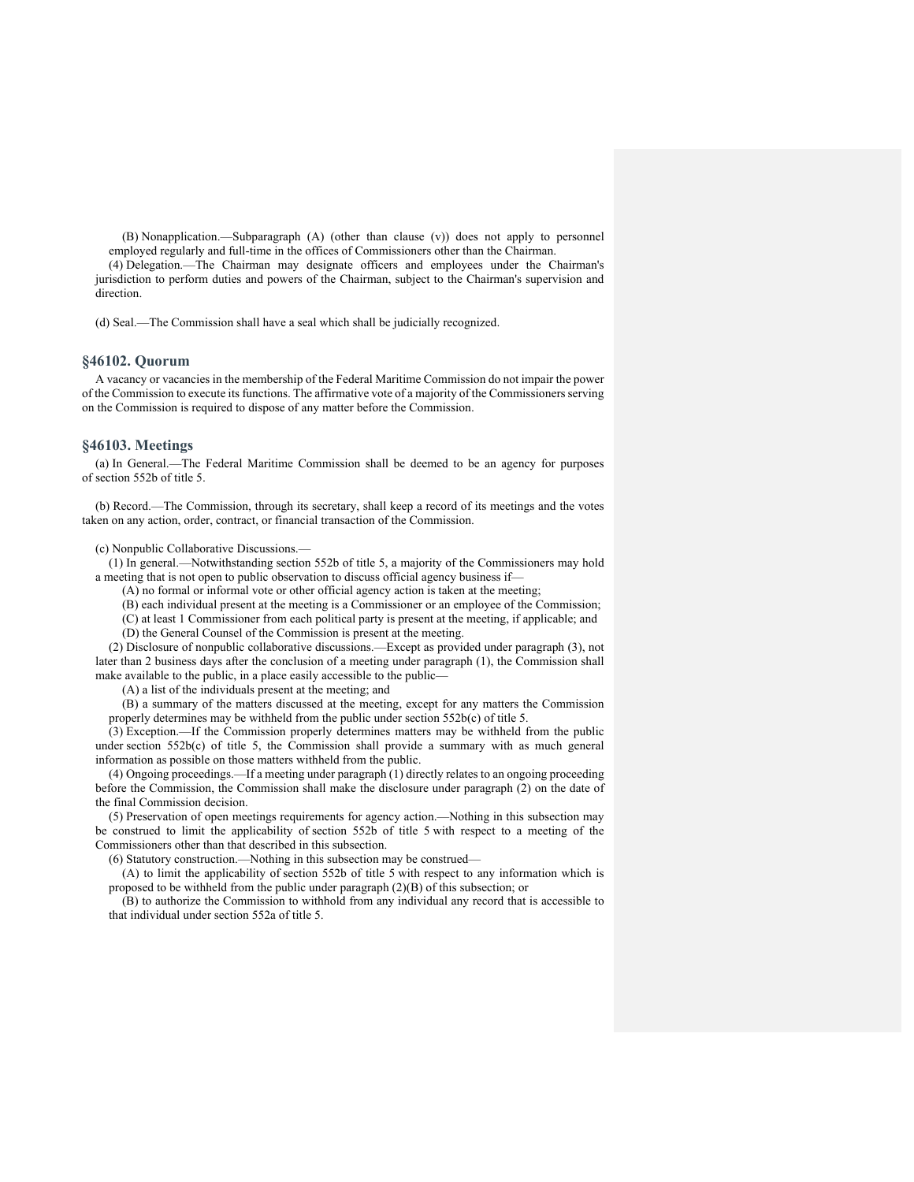(B) Nonapplication.—Subparagraph (A) (other than clause (v)) does not apply to personnel employed regularly and full-time in the offices of Commissioners other than the Chairman.

(4) Delegation.—The Chairman may designate officers and employees under the Chairman's jurisdiction to perform duties and powers of the Chairman, subject to the Chairman's supervision and direction.

(d) Seal.—The Commission shall have a seal which shall be judicially recognized.

# **§46102. Quorum**

A vacancy or vacancies in the membership of the Federal Maritime Commission do not impair the power of the Commission to execute its functions. The affirmative vote of a majority of the Commissioners serving on the Commission is required to dispose of any matter before the Commission.

#### **§46103. Meetings**

(a) In General.—The Federal Maritime Commission shall be deemed to be an agency for purposes of section 552b of title 5.

(b) Record.—The Commission, through its secretary, shall keep a record of its meetings and the votes taken on any action, order, contract, or financial transaction of the Commission.

(c) Nonpublic Collaborative Discussions.—

(1) In general.—Notwithstanding section 552b of title 5, a majority of the Commissioners may hold a meeting that is not open to public observation to discuss official agency business if—

(A) no formal or informal vote or other official agency action is taken at the meeting;

(B) each individual present at the meeting is a Commissioner or an employee of the Commission;

(C) at least 1 Commissioner from each political party is present at the meeting, if applicable; and

(D) the General Counsel of the Commission is present at the meeting.

(2) Disclosure of nonpublic collaborative discussions.—Except as provided under paragraph (3), not later than 2 business days after the conclusion of a meeting under paragraph (1), the Commission shall make available to the public, in a place easily accessible to the public—

(A) a list of the individuals present at the meeting; and

(B) a summary of the matters discussed at the meeting, except for any matters the Commission properly determines may be withheld from the public under section 552b(c) of title 5.

(3) Exception.—If the Commission properly determines matters may be withheld from the public under section 552b(c) of title 5, the Commission shall provide a summary with as much general information as possible on those matters withheld from the public.

(4) Ongoing proceedings.—If a meeting under paragraph (1) directly relates to an ongoing proceeding before the Commission, the Commission shall make the disclosure under paragraph (2) on the date of the final Commission decision.

(5) Preservation of open meetings requirements for agency action.—Nothing in this subsection may be construed to limit the applicability of section 552b of title 5 with respect to a meeting of the Commissioners other than that described in this subsection.

(6) Statutory construction.—Nothing in this subsection may be construed—

(A) to limit the applicability of section 552b of title 5 with respect to any information which is proposed to be withheld from the public under paragraph (2)(B) of this subsection; or

(B) to authorize the Commission to withhold from any individual any record that is accessible to that individual under section 552a of title 5.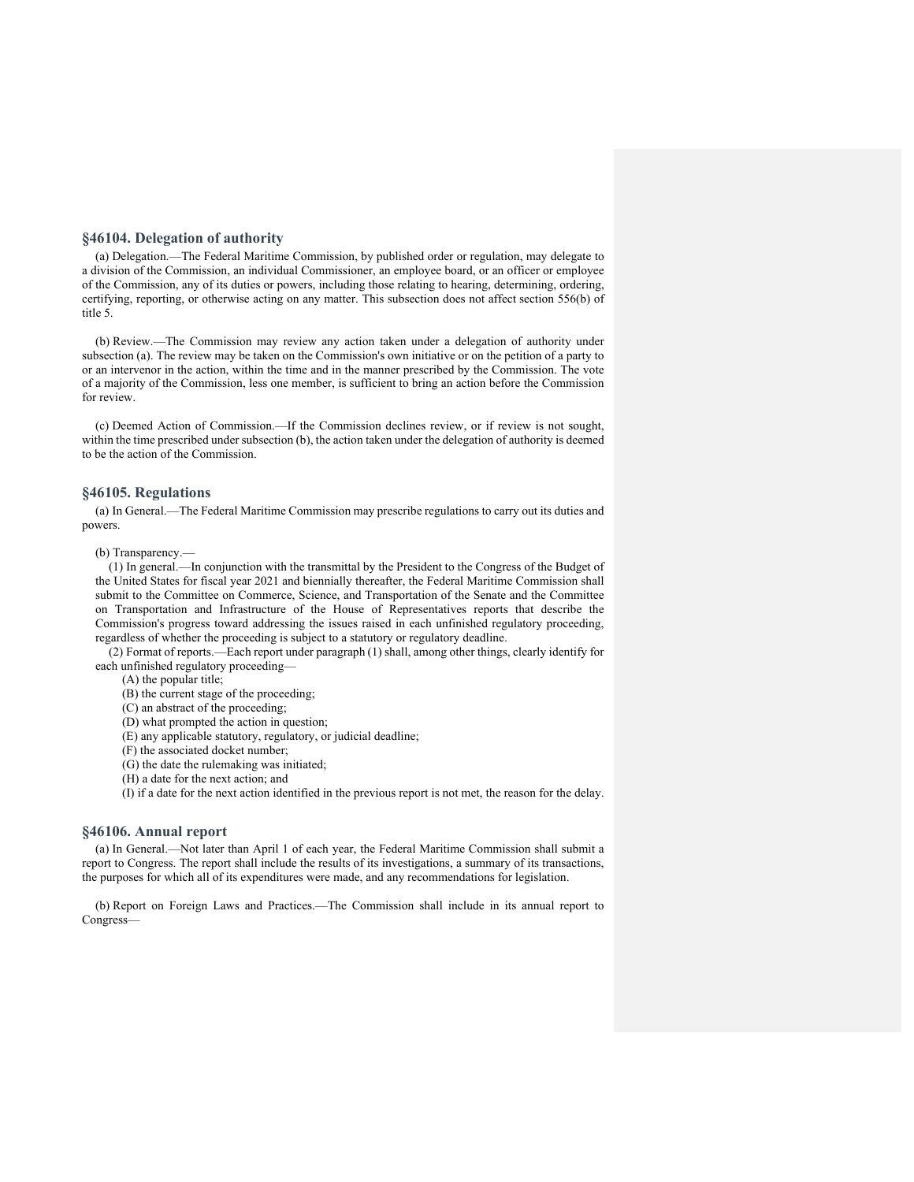# **§46104. Delegation of authority**

(a) Delegation.—The Federal Maritime Commission, by published order or regulation, may delegate to a division of the Commission, an individual Commissioner, an employee board, or an officer or employee of the Commission, any of its duties or powers, including those relating to hearing, determining, ordering, certifying, reporting, or otherwise acting on any matter. This subsection does not affect section 556(b) of title 5.

(b) Review.—The Commission may review any action taken under a delegation of authority under subsection (a). The review may be taken on the Commission's own initiative or on the petition of a party to or an intervenor in the action, within the time and in the manner prescribed by the Commission. The vote of a majority of the Commission, less one member, is sufficient to bring an action before the Commission for review.

(c) Deemed Action of Commission.—If the Commission declines review, or if review is not sought, within the time prescribed under subsection (b), the action taken under the delegation of authority is deemed to be the action of the Commission.

# **§46105. Regulations**

(a) In General.—The Federal Maritime Commission may prescribe regulations to carry out its duties and powers.

#### (b) Transparency.—

(1) In general.—In conjunction with the transmittal by the President to the Congress of the Budget of the United States for fiscal year 2021 and biennially thereafter, the Federal Maritime Commission shall submit to the Committee on Commerce, Science, and Transportation of the Senate and the Committee on Transportation and Infrastructure of the House of Representatives reports that describe the Commission's progress toward addressing the issues raised in each unfinished regulatory proceeding, regardless of whether the proceeding is subject to a statutory or regulatory deadline.

(2) Format of reports.—Each report under paragraph (1) shall, among other things, clearly identify for each unfinished regulatory proceeding—

(A) the popular title;

(B) the current stage of the proceeding;

- (C) an abstract of the proceeding;
- (D) what prompted the action in question; (E) any applicable statutory, regulatory, or judicial deadline;
- 
- (F) the associated docket number;
- (G) the date the rulemaking was initiated; (H) a date for the next action; and

(I) if a date for the next action identified in the previous report is not met, the reason for the delay.

# **§46106. Annual report**

(a) In General.—Not later than April 1 of each year, the Federal Maritime Commission shall submit a report to Congress. The report shall include the results of its investigations, a summary of its transactions, the purposes for which all of its expenditures were made, and any recommendations for legislation.

(b) Report on Foreign Laws and Practices.—The Commission shall include in its annual report to Congress—